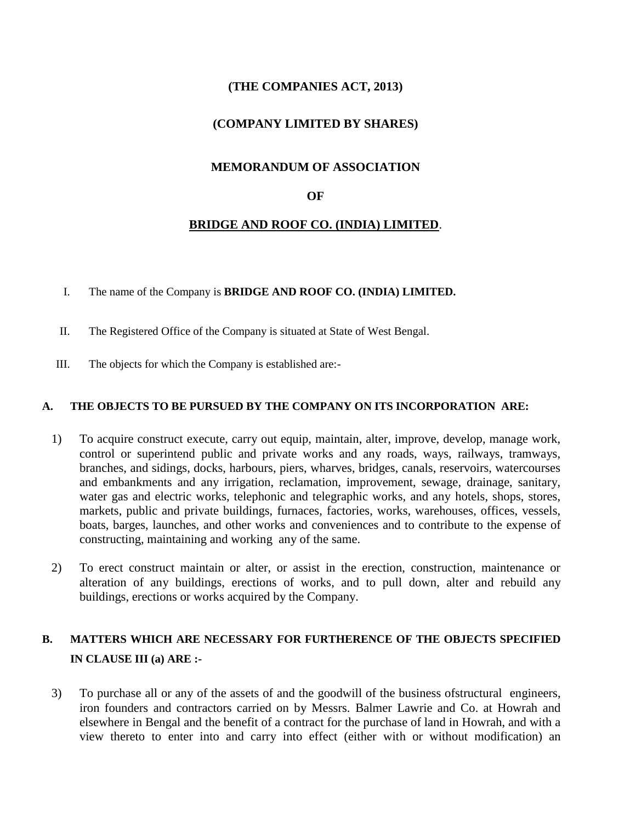# **(THE COMPANIES ACT, 2013)**

## **(COMPANY LIMITED BY SHARES)**

### **MEMORANDUM OF ASSOCIATION**

#### **OF**

### **BRIDGE AND ROOF CO. (INDIA) LIMITED**.

#### I. The name of the Company is **BRIDGE AND ROOF CO. (INDIA) LIMITED.**

- II. The Registered Office of the Company is situated at State of West Bengal.
- III. The objects for which the Company is established are:-

#### **A. THE OBJECTS TO BE PURSUED BY THE COMPANY ON ITS INCORPORATION ARE:**

- 1) To acquire construct execute, carry out equip, maintain, alter, improve, develop, manage work, control or superintend public and private works and any roads, ways, railways, tramways, branches, and sidings, docks, harbours, piers, wharves, bridges, canals, reservoirs, watercourses and embankments and any irrigation, reclamation, improvement, sewage, drainage, sanitary, water gas and electric works, telephonic and telegraphic works, and any hotels, shops, stores, markets, public and private buildings, furnaces, factories, works, warehouses, offices, vessels, boats, barges, launches, and other works and conveniences and to contribute to the expense of constructing, maintaining and working any of the same.
- 2) To erect construct maintain or alter, or assist in the erection, construction, maintenance or alteration of any buildings, erections of works, and to pull down, alter and rebuild any buildings, erections or works acquired by the Company.

# **B. MATTERS WHICH ARE NECESSARY FOR FURTHERENCE OF THE OBJECTS SPECIFIED IN CLAUSE III (a) ARE :-**

3) To purchase all or any of the assets of and the goodwill of the business ofstructural engineers, iron founders and contractors carried on by Messrs. Balmer Lawrie and Co. at Howrah and elsewhere in Bengal and the benefit of a contract for the purchase of land in Howrah, and with a view thereto to enter into and carry into effect (either with or without modification) an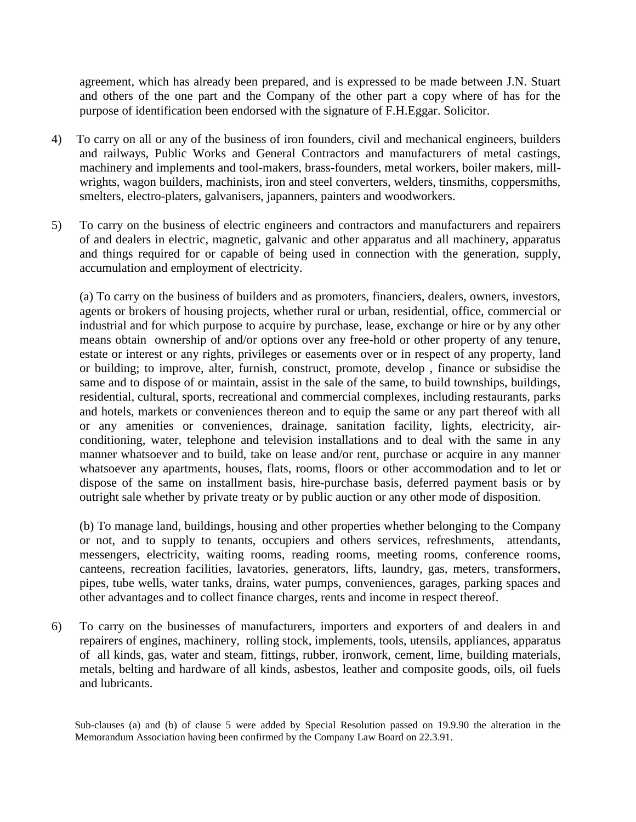agreement, which has already been prepared, and is expressed to be made between J.N. Stuart and others of the one part and the Company of the other part a copy where of has for the purpose of identification been endorsed with the signature of F.H.Eggar. Solicitor.

- 4) To carry on all or any of the business of iron founders, civil and mechanical engineers, builders and railways, Public Works and General Contractors and manufacturers of metal castings, machinery and implements and tool-makers, brass-founders, metal workers, boiler makers, millwrights, wagon builders, machinists, iron and steel converters, welders, tinsmiths, coppersmiths, smelters, electro-platers, galvanisers, japanners, painters and woodworkers.
- 5) To carry on the business of electric engineers and contractors and manufacturers and repairers of and dealers in electric, magnetic, galvanic and other apparatus and all machinery, apparatus and things required for or capable of being used in connection with the generation, supply, accumulation and employment of electricity.

(a) To carry on the business of builders and as promoters, financiers, dealers, owners, investors, agents or brokers of housing projects, whether rural or urban, residential, office, commercial or industrial and for which purpose to acquire by purchase, lease, exchange or hire or by any other means obtain ownership of and/or options over any free-hold or other property of any tenure, estate or interest or any rights, privileges or easements over or in respect of any property, land or building; to improve, alter, furnish, construct, promote, develop , finance or subsidise the same and to dispose of or maintain, assist in the sale of the same, to build townships, buildings, residential, cultural, sports, recreational and commercial complexes, including restaurants, parks and hotels, markets or conveniences thereon and to equip the same or any part thereof with all or any amenities or conveniences, drainage, sanitation facility, lights, electricity, airconditioning, water, telephone and television installations and to deal with the same in any manner whatsoever and to build, take on lease and/or rent, purchase or acquire in any manner whatsoever any apartments, houses, flats, rooms, floors or other accommodation and to let or dispose of the same on installment basis, hire-purchase basis, deferred payment basis or by outright sale whether by private treaty or by public auction or any other mode of disposition.

(b) To manage land, buildings, housing and other properties whether belonging to the Company or not, and to supply to tenants, occupiers and others services, refreshments, attendants, messengers, electricity, waiting rooms, reading rooms, meeting rooms, conference rooms, canteens, recreation facilities, lavatories, generators, lifts, laundry, gas, meters, transformers, pipes, tube wells, water tanks, drains, water pumps, conveniences, garages, parking spaces and other advantages and to collect finance charges, rents and income in respect thereof.

6) To carry on the businesses of manufacturers, importers and exporters of and dealers in and repairers of engines, machinery, rolling stock, implements, tools, utensils, appliances, apparatus of all kinds, gas, water and steam, fittings, rubber, ironwork, cement, lime, building materials, metals, belting and hardware of all kinds, asbestos, leather and composite goods, oils, oil fuels and lubricants.

Sub-clauses (a) and (b) of clause 5 were added by Special Resolution passed on 19.9.90 the alteration in the Memorandum Association having been confirmed by the Company Law Board on 22.3.91.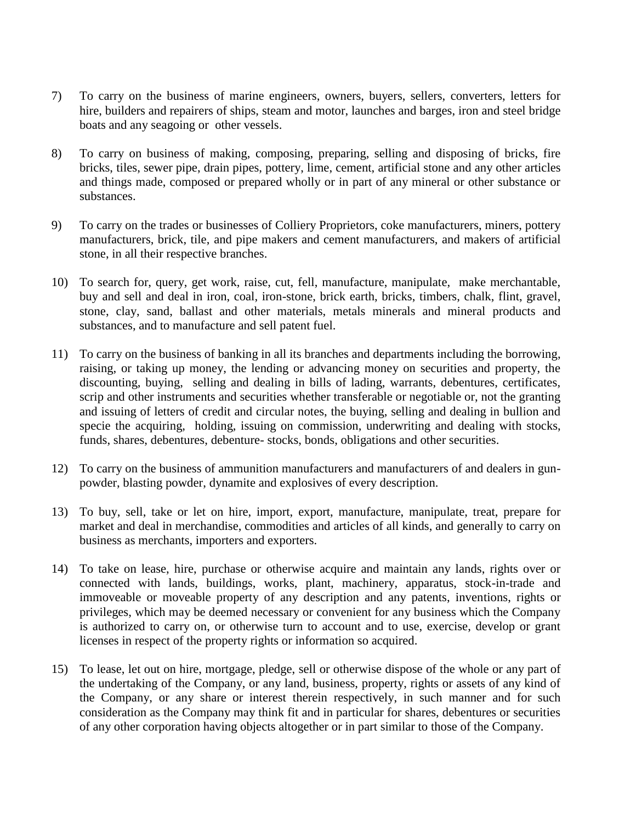- 7) To carry on the business of marine engineers, owners, buyers, sellers, converters, letters for hire, builders and repairers of ships, steam and motor, launches and barges, iron and steel bridge boats and any seagoing or other vessels.
- 8) To carry on business of making, composing, preparing, selling and disposing of bricks, fire bricks, tiles, sewer pipe, drain pipes, pottery, lime, cement, artificial stone and any other articles and things made, composed or prepared wholly or in part of any mineral or other substance or substances.
- 9) To carry on the trades or businesses of Colliery Proprietors, coke manufacturers, miners, pottery manufacturers, brick, tile, and pipe makers and cement manufacturers, and makers of artificial stone, in all their respective branches.
- 10) To search for, query, get work, raise, cut, fell, manufacture, manipulate, make merchantable, buy and sell and deal in iron, coal, iron-stone, brick earth, bricks, timbers, chalk, flint, gravel, stone, clay, sand, ballast and other materials, metals minerals and mineral products and substances, and to manufacture and sell patent fuel.
- 11) To carry on the business of banking in all its branches and departments including the borrowing, raising, or taking up money, the lending or advancing money on securities and property, the discounting, buying, selling and dealing in bills of lading, warrants, debentures, certificates, scrip and other instruments and securities whether transferable or negotiable or, not the granting and issuing of letters of credit and circular notes, the buying, selling and dealing in bullion and specie the acquiring, holding, issuing on commission, underwriting and dealing with stocks, funds, shares, debentures, debenture- stocks, bonds, obligations and other securities.
- 12) To carry on the business of ammunition manufacturers and manufacturers of and dealers in gunpowder, blasting powder, dynamite and explosives of every description.
- 13) To buy, sell, take or let on hire, import, export, manufacture, manipulate, treat, prepare for market and deal in merchandise, commodities and articles of all kinds, and generally to carry on business as merchants, importers and exporters.
- 14) To take on lease, hire, purchase or otherwise acquire and maintain any lands, rights over or connected with lands, buildings, works, plant, machinery, apparatus, stock-in-trade and immoveable or moveable property of any description and any patents, inventions, rights or privileges, which may be deemed necessary or convenient for any business which the Company is authorized to carry on, or otherwise turn to account and to use, exercise, develop or grant licenses in respect of the property rights or information so acquired.
- 15) To lease, let out on hire, mortgage, pledge, sell or otherwise dispose of the whole or any part of the undertaking of the Company, or any land, business, property, rights or assets of any kind of the Company, or any share or interest therein respectively, in such manner and for such consideration as the Company may think fit and in particular for shares, debentures or securities of any other corporation having objects altogether or in part similar to those of the Company.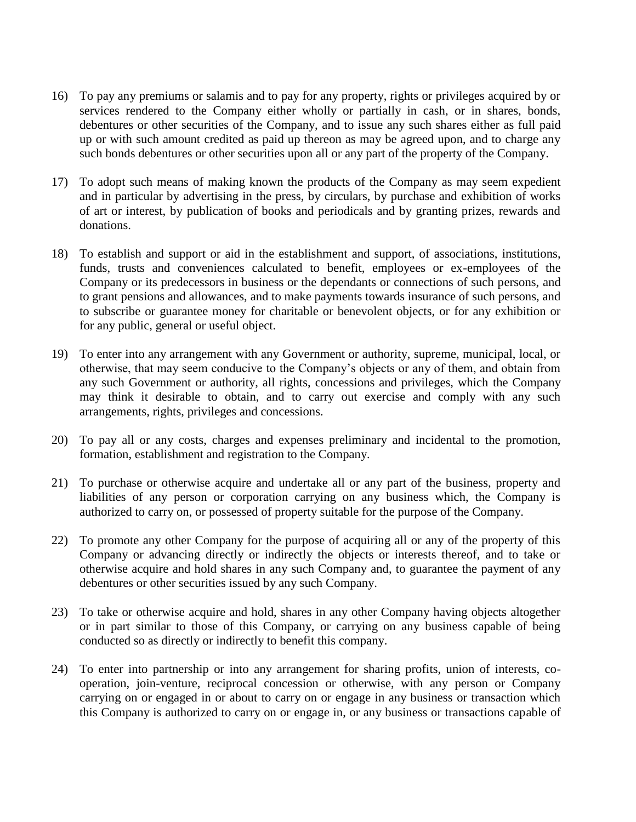- 16) To pay any premiums or salamis and to pay for any property, rights or privileges acquired by or services rendered to the Company either wholly or partially in cash, or in shares, bonds, debentures or other securities of the Company, and to issue any such shares either as full paid up or with such amount credited as paid up thereon as may be agreed upon, and to charge any such bonds debentures or other securities upon all or any part of the property of the Company.
- 17) To adopt such means of making known the products of the Company as may seem expedient and in particular by advertising in the press, by circulars, by purchase and exhibition of works of art or interest, by publication of books and periodicals and by granting prizes, rewards and donations.
- 18) To establish and support or aid in the establishment and support, of associations, institutions, funds, trusts and conveniences calculated to benefit, employees or ex-employees of the Company or its predecessors in business or the dependants or connections of such persons, and to grant pensions and allowances, and to make payments towards insurance of such persons, and to subscribe or guarantee money for charitable or benevolent objects, or for any exhibition or for any public, general or useful object.
- 19) To enter into any arrangement with any Government or authority, supreme, municipal, local, or otherwise, that may seem conducive to the Company's objects or any of them, and obtain from any such Government or authority, all rights, concessions and privileges, which the Company may think it desirable to obtain, and to carry out exercise and comply with any such arrangements, rights, privileges and concessions.
- 20) To pay all or any costs, charges and expenses preliminary and incidental to the promotion, formation, establishment and registration to the Company.
- 21) To purchase or otherwise acquire and undertake all or any part of the business, property and liabilities of any person or corporation carrying on any business which, the Company is authorized to carry on, or possessed of property suitable for the purpose of the Company.
- 22) To promote any other Company for the purpose of acquiring all or any of the property of this Company or advancing directly or indirectly the objects or interests thereof, and to take or otherwise acquire and hold shares in any such Company and, to guarantee the payment of any debentures or other securities issued by any such Company.
- 23) To take or otherwise acquire and hold, shares in any other Company having objects altogether or in part similar to those of this Company, or carrying on any business capable of being conducted so as directly or indirectly to benefit this company.
- 24) To enter into partnership or into any arrangement for sharing profits, union of interests, cooperation, join-venture, reciprocal concession or otherwise, with any person or Company carrying on or engaged in or about to carry on or engage in any business or transaction which this Company is authorized to carry on or engage in, or any business or transactions capable of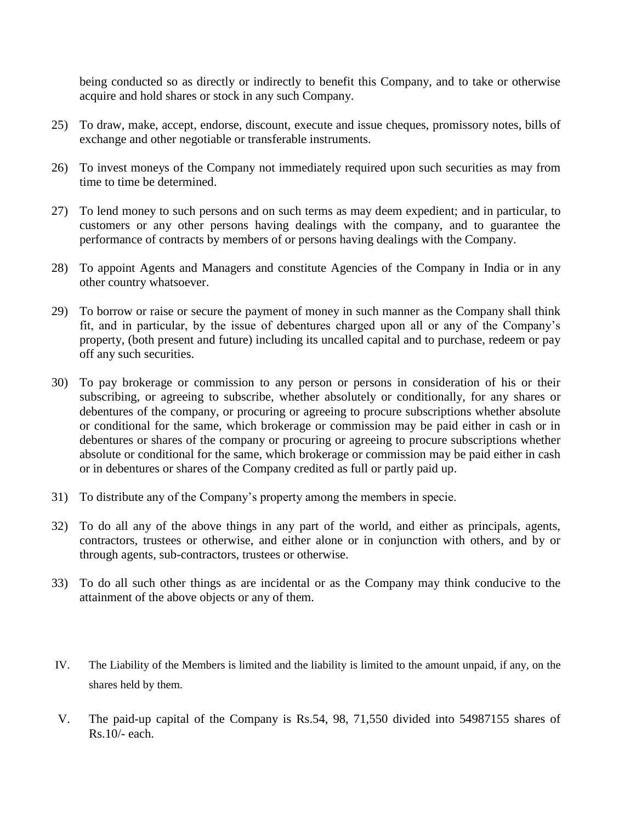being conducted so as directly or indirectly to benefit this Company, and to take or otherwise acquire and hold shares or stock in any such Company.

- 25) To draw, make, accept, endorse, discount, execute and issue cheques, promissory notes, bills of exchange and other negotiable or transferable instruments.
- 26) To invest moneys of the Company not immediately required upon such securities as may from time to time be determined.
- 27) To lend money to such persons and on such terms as may deem expedient; and in particular, to customers or any other persons having dealings with the company, and to guarantee the performance of contracts by members of or persons having dealings with the Company.
- 28) To appoint Agents and Managers and constitute Agencies of the Company in India or in any other country whatsoever.
- 29) To borrow or raise or secure the payment of money in such manner as the Company shall think fit, and in particular, by the issue of debentures charged upon all or any of the Company's property, (both present and future) including its uncalled capital and to purchase, redeem or pay off any such securities.
- 30) To pay brokerage or commission to any person or persons in consideration of his or their subscribing, or agreeing to subscribe, whether absolutely or conditionally, for any shares or debentures of the company, or procuring or agreeing to procure subscriptions whether absolute or conditional for the same, which brokerage or commission may be paid either in cash or in debentures or shares of the company or procuring or agreeing to procure subscriptions whether absolute or conditional for the same, which brokerage or commission may be paid either in cash or in debentures or shares of the Company credited as full or partly paid up.
- 31) To distribute any of the Company's property among the members in specie.
- 32) To do all any of the above things in any part of the world, and either as principals, agents, contractors, trustees or otherwise, and either alone or in conjunction with others, and by or through agents, sub-contractors, trustees or otherwise.
- 33) To do all such other things as are incidental or as the Company may think conducive to the attainment of the above objects or any of them.
- IV. The Liability of the Members is limited and the liability is limited to the amount unpaid, if any, on the shares held by them.
- V. The paid-up capital of the Company is Rs.54, 98, 71,550 divided into 54987155 shares of Rs.10/- each.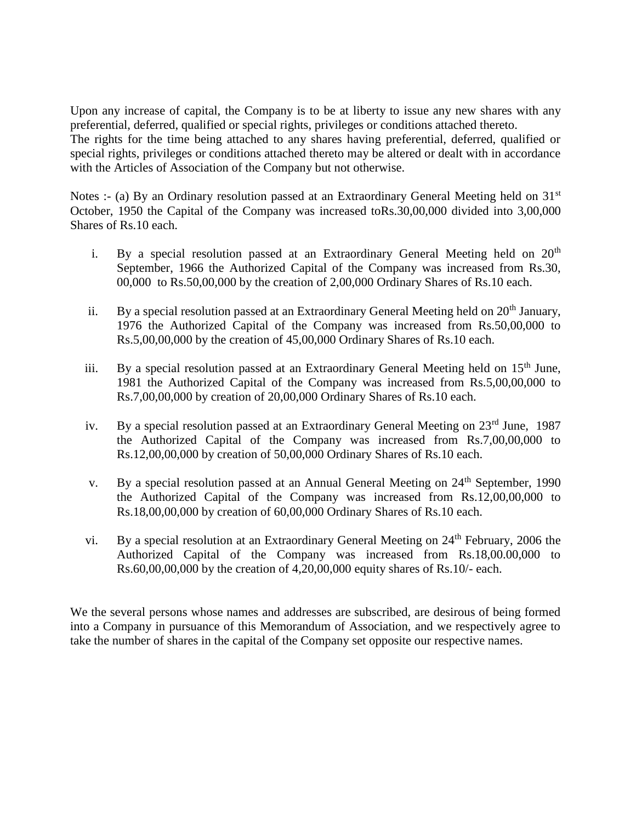Upon any increase of capital, the Company is to be at liberty to issue any new shares with any preferential, deferred, qualified or special rights, privileges or conditions attached thereto. The rights for the time being attached to any shares having preferential, deferred, qualified or special rights, privileges or conditions attached thereto may be altered or dealt with in accordance with the Articles of Association of the Company but not otherwise.

Notes :- (a) By an Ordinary resolution passed at an Extraordinary General Meeting held on  $31<sup>st</sup>$ October, 1950 the Capital of the Company was increased toRs.30,00,000 divided into 3,00,000 Shares of Rs.10 each.

- i. By a special resolution passed at an Extraordinary General Meeting held on  $20<sup>th</sup>$ September, 1966 the Authorized Capital of the Company was increased from Rs.30, 00,000 to Rs.50,00,000 by the creation of 2,00,000 Ordinary Shares of Rs.10 each.
- ii. By a special resolution passed at an Extraordinary General Meeting held on  $20<sup>th</sup>$  January, 1976 the Authorized Capital of the Company was increased from Rs.50,00,000 to Rs.5,00,00,000 by the creation of 45,00,000 Ordinary Shares of Rs.10 each.
- iii. By a special resolution passed at an Extraordinary General Meeting held on  $15<sup>th</sup>$  June, 1981 the Authorized Capital of the Company was increased from Rs.5,00,00,000 to Rs.7,00,00,000 by creation of 20,00,000 Ordinary Shares of Rs.10 each.
- iv. By a special resolution passed at an Extraordinary General Meeting on 23<sup>rd</sup> June, 1987 the Authorized Capital of the Company was increased from Rs.7,00,00,000 to Rs.12,00,00,000 by creation of 50,00,000 Ordinary Shares of Rs.10 each.
- v. By a special resolution passed at an Annual General Meeting on  $24<sup>th</sup>$  September, 1990 the Authorized Capital of the Company was increased from Rs.12,00,00,000 to Rs.18,00,00,000 by creation of 60,00,000 Ordinary Shares of Rs.10 each.
- vi. By a special resolution at an Extraordinary General Meeting on  $24<sup>th</sup>$  February, 2006 the Authorized Capital of the Company was increased from Rs.18,00.00,000 to Rs.60,00,00,000 by the creation of 4,20,00,000 equity shares of Rs.10/- each.

We the several persons whose names and addresses are subscribed, are desirous of being formed into a Company in pursuance of this Memorandum of Association, and we respectively agree to take the number of shares in the capital of the Company set opposite our respective names.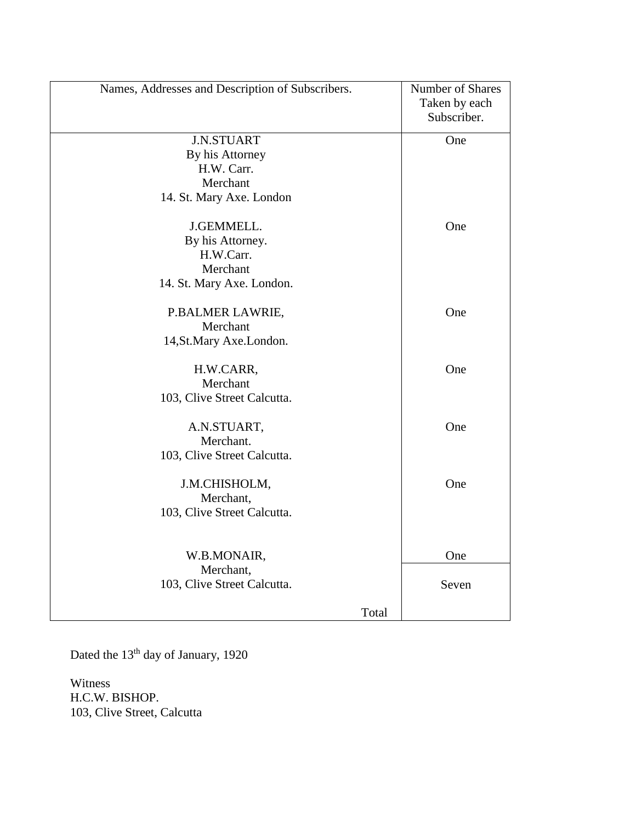| Names, Addresses and Description of Subscribers. | Number of Shares<br>Taken by each<br>Subscriber. |  |
|--------------------------------------------------|--------------------------------------------------|--|
| <b>J.N.STUART</b>                                | One                                              |  |
| By his Attorney                                  |                                                  |  |
| H.W. Carr.                                       |                                                  |  |
| Merchant                                         |                                                  |  |
| 14. St. Mary Axe. London                         |                                                  |  |
| J.GEMMELL.                                       | One                                              |  |
| By his Attorney.                                 |                                                  |  |
| H.W.Carr.                                        |                                                  |  |
| Merchant                                         |                                                  |  |
| 14. St. Mary Axe. London.                        |                                                  |  |
| P.BALMER LAWRIE,                                 | One                                              |  |
| Merchant                                         |                                                  |  |
| 14, St. Mary Axe. London.                        |                                                  |  |
| H.W.CARR,                                        | One                                              |  |
| Merchant                                         |                                                  |  |
| 103, Clive Street Calcutta.                      |                                                  |  |
| A.N.STUART,                                      | One                                              |  |
| Merchant.                                        |                                                  |  |
| 103, Clive Street Calcutta.                      |                                                  |  |
| J.M.CHISHOLM,                                    | One                                              |  |
| Merchant,                                        |                                                  |  |
| 103, Clive Street Calcutta.                      |                                                  |  |
|                                                  |                                                  |  |
| W.B.MONAIR,                                      | One                                              |  |
| Merchant,                                        |                                                  |  |
| 103, Clive Street Calcutta.                      | Seven                                            |  |
|                                                  |                                                  |  |
| Total                                            |                                                  |  |

Dated the 13<sup>th</sup> day of January, 1920

Witness H.C.W. BISHOP. 103, Clive Street, Calcutta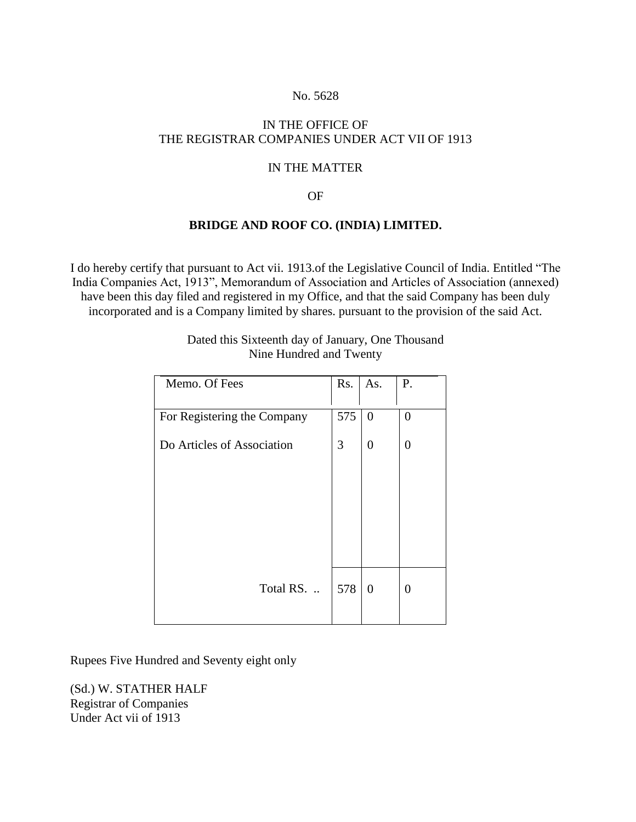#### No. 5628

# IN THE OFFICE OF THE REGISTRAR COMPANIES UNDER ACT VII OF 1913

### IN THE MATTER

#### OF

### **BRIDGE AND ROOF CO. (INDIA) LIMITED.**

I do hereby certify that pursuant to Act vii. 1913.of the Legislative Council of India. Entitled "The India Companies Act, 1913", Memorandum of Association and Articles of Association (annexed) have been this day filed and registered in my Office, and that the said Company has been duly incorporated and is a Company limited by shares. pursuant to the provision of the said Act.

| Memo. Of Fees               | Rs. | As.            | P.             |
|-----------------------------|-----|----------------|----------------|
| For Registering the Company | 575 | $\theta$       | 0              |
|                             |     |                |                |
| Do Articles of Association  | 3   | 0              | $\overline{0}$ |
|                             |     |                |                |
|                             |     |                |                |
|                             |     |                |                |
|                             |     |                |                |
|                             |     |                |                |
|                             |     |                |                |
| Total RS                    | 578 | $\overline{0}$ | $\overline{0}$ |
|                             |     |                |                |

#### Dated this Sixteenth day of January, One Thousand Nine Hundred and Twenty

Rupees Five Hundred and Seventy eight only

(Sd.) W. STATHER HALF Registrar of Companies Under Act vii of 1913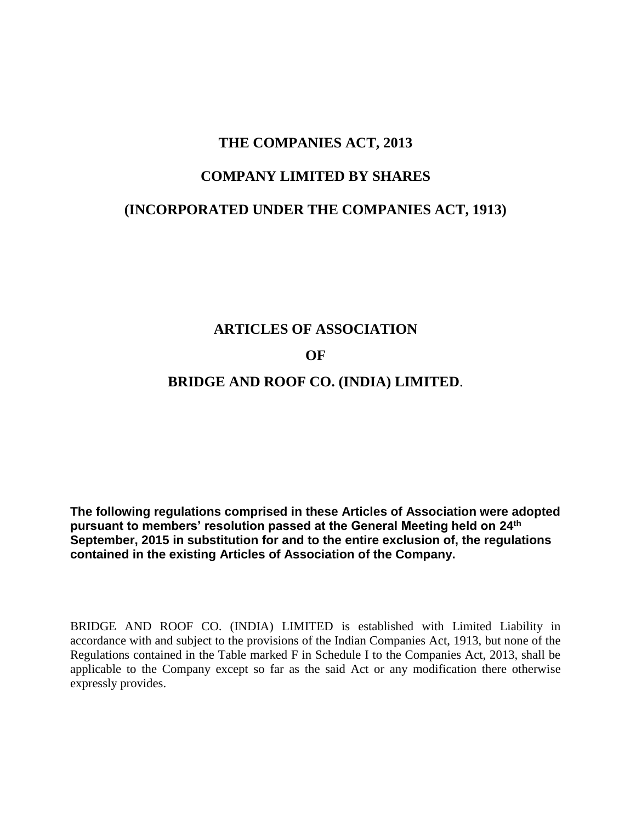# **THE COMPANIES ACT, 2013**

# **COMPANY LIMITED BY SHARES**

# **(INCORPORATED UNDER THE COMPANIES ACT, 1913)**

# **ARTICLES OF ASSOCIATION**

## **OF**

# **BRIDGE AND ROOF CO. (INDIA) LIMITED**.

**The following regulations comprised in these Articles of Association were adopted pursuant to members' resolution passed at the General Meeting held on 24th September, 2015 in substitution for and to the entire exclusion of, the regulations contained in the existing Articles of Association of the Company.**

BRIDGE AND ROOF CO. (INDIA) LIMITED is established with Limited Liability in accordance with and subject to the provisions of the Indian Companies Act, 1913, but none of the Regulations contained in the Table marked F in Schedule I to the Companies Act, 2013, shall be applicable to the Company except so far as the said Act or any modification there otherwise expressly provides.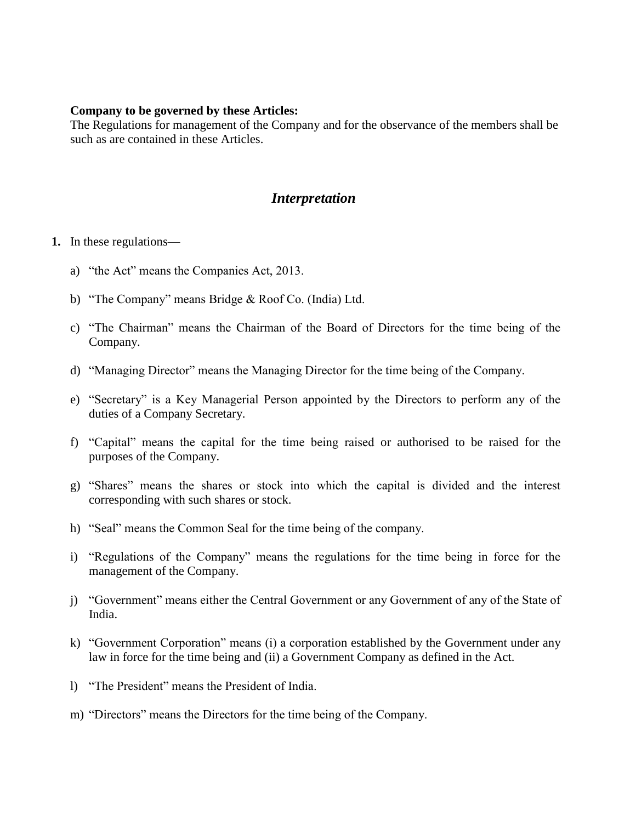#### **Company to be governed by these Articles:**

The Regulations for management of the Company and for the observance of the members shall be such as are contained in these Articles.

# *Interpretation*

### **1.** In these regulations—

- a) "the Act" means the Companies Act, 2013.
- b) "The Company" means Bridge & Roof Co. (India) Ltd.
- c) "The Chairman" means the Chairman of the Board of Directors for the time being of the Company.
- d) "Managing Director" means the Managing Director for the time being of the Company.
- e) "Secretary" is a Key Managerial Person appointed by the Directors to perform any of the duties of a Company Secretary.
- f) "Capital" means the capital for the time being raised or authorised to be raised for the purposes of the Company.
- g) "Shares" means the shares or stock into which the capital is divided and the interest corresponding with such shares or stock.
- h) "Seal" means the Common Seal for the time being of the company.
- i) "Regulations of the Company" means the regulations for the time being in force for the management of the Company.
- j) "Government" means either the Central Government or any Government of any of the State of India.
- k) "Government Corporation" means (i) a corporation established by the Government under any law in force for the time being and (ii) a Government Company as defined in the Act.
- l) "The President" means the President of India.
- m) "Directors" means the Directors for the time being of the Company.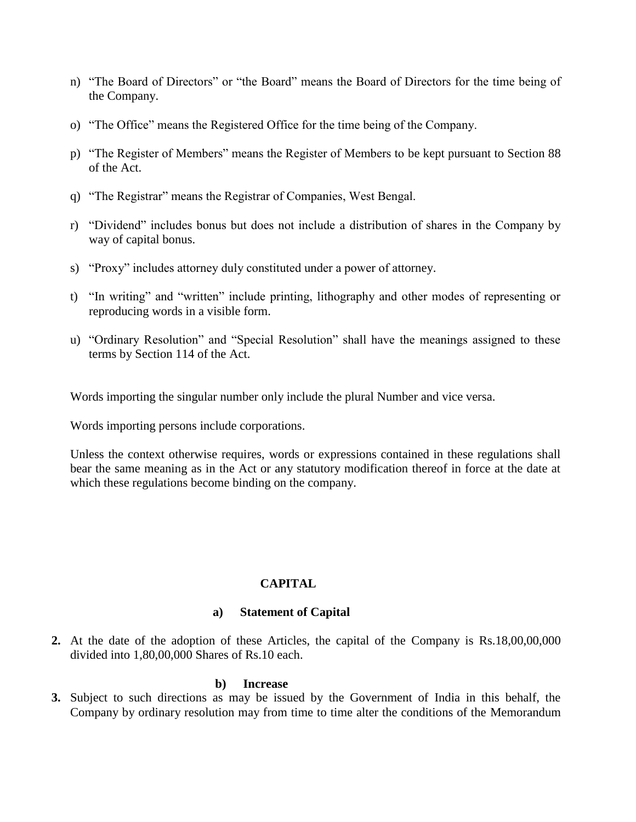- n) "The Board of Directors" or "the Board" means the Board of Directors for the time being of the Company.
- o) "The Office" means the Registered Office for the time being of the Company.
- p) "The Register of Members" means the Register of Members to be kept pursuant to Section 88 of the Act.
- q) "The Registrar" means the Registrar of Companies, West Bengal.
- r) "Dividend" includes bonus but does not include a distribution of shares in the Company by way of capital bonus.
- s) "Proxy" includes attorney duly constituted under a power of attorney.
- t) "In writing" and "written" include printing, lithography and other modes of representing or reproducing words in a visible form.
- u) "Ordinary Resolution" and "Special Resolution" shall have the meanings assigned to these terms by Section 114 of the Act.

Words importing the singular number only include the plural Number and vice versa.

Words importing persons include corporations.

Unless the context otherwise requires, words or expressions contained in these regulations shall bear the same meaning as in the Act or any statutory modification thereof in force at the date at which these regulations become binding on the company.

# **CAPITAL**

### **a) Statement of Capital**

**2.** At the date of the adoption of these Articles, the capital of the Company is Rs.18,00,00,000 divided into 1,80,00,000 Shares of Rs.10 each.

#### **b) Increase**

**3.** Subject to such directions as may be issued by the Government of India in this behalf, the Company by ordinary resolution may from time to time alter the conditions of the Memorandum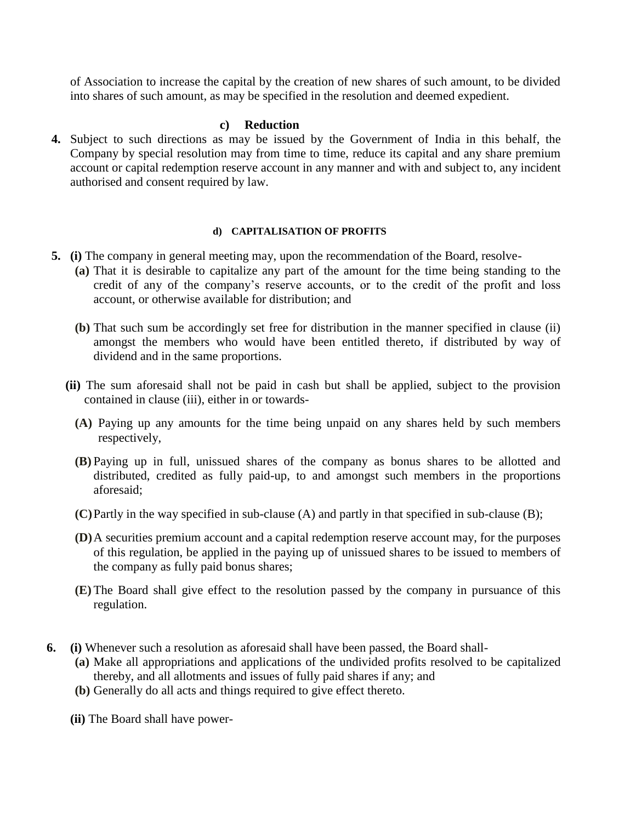of Association to increase the capital by the creation of new shares of such amount, to be divided into shares of such amount, as may be specified in the resolution and deemed expedient.

### **c) Reduction**

**4.** Subject to such directions as may be issued by the Government of India in this behalf, the Company by special resolution may from time to time, reduce its capital and any share premium account or capital redemption reserve account in any manner and with and subject to, any incident authorised and consent required by law.

### **d) CAPITALISATION OF PROFITS**

- **5. (i)** The company in general meeting may, upon the recommendation of the Board, resolve-
	- **(a)** That it is desirable to capitalize any part of the amount for the time being standing to the credit of any of the company's reserve accounts, or to the credit of the profit and loss account, or otherwise available for distribution; and
	- **(b)** That such sum be accordingly set free for distribution in the manner specified in clause (ii) amongst the members who would have been entitled thereto, if distributed by way of dividend and in the same proportions.
	- **(ii)** The sum aforesaid shall not be paid in cash but shall be applied, subject to the provision contained in clause (iii), either in or towards-
		- **(A)** Paying up any amounts for the time being unpaid on any shares held by such members respectively,
		- **(B)** Paying up in full, unissued shares of the company as bonus shares to be allotted and distributed, credited as fully paid-up, to and amongst such members in the proportions aforesaid;
		- **(C)**Partly in the way specified in sub-clause (A) and partly in that specified in sub-clause (B);
		- **(D)**A securities premium account and a capital redemption reserve account may, for the purposes of this regulation, be applied in the paying up of unissued shares to be issued to members of the company as fully paid bonus shares;
		- **(E)** The Board shall give effect to the resolution passed by the company in pursuance of this regulation.
- **6. (i)** Whenever such a resolution as aforesaid shall have been passed, the Board shall-
	- **(a)** Make all appropriations and applications of the undivided profits resolved to be capitalized thereby, and all allotments and issues of fully paid shares if any; and
	- **(b)** Generally do all acts and things required to give effect thereto.
	- **(ii)** The Board shall have power-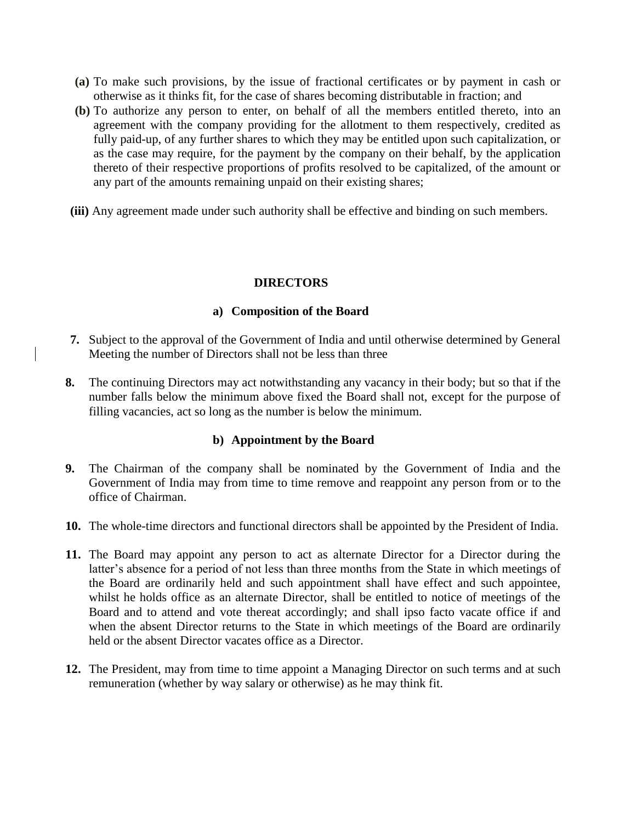- **(a)** To make such provisions, by the issue of fractional certificates or by payment in cash or otherwise as it thinks fit, for the case of shares becoming distributable in fraction; and
- **(b)** To authorize any person to enter, on behalf of all the members entitled thereto, into an agreement with the company providing for the allotment to them respectively, credited as fully paid-up, of any further shares to which they may be entitled upon such capitalization, or as the case may require, for the payment by the company on their behalf, by the application thereto of their respective proportions of profits resolved to be capitalized, of the amount or any part of the amounts remaining unpaid on their existing shares;
- **(iii)** Any agreement made under such authority shall be effective and binding on such members.

# **DIRECTORS**

### **a) Composition of the Board**

- **7.** Subject to the approval of the Government of India and until otherwise determined by General Meeting the number of Directors shall not be less than three
- **8.** The continuing Directors may act notwithstanding any vacancy in their body; but so that if the number falls below the minimum above fixed the Board shall not, except for the purpose of filling vacancies, act so long as the number is below the minimum.

# **b) Appointment by the Board**

- **9.** The Chairman of the company shall be nominated by the Government of India and the Government of India may from time to time remove and reappoint any person from or to the office of Chairman.
- **10.** The whole-time directors and functional directors shall be appointed by the President of India.
- **11.** The Board may appoint any person to act as alternate Director for a Director during the latter's absence for a period of not less than three months from the State in which meetings of the Board are ordinarily held and such appointment shall have effect and such appointee, whilst he holds office as an alternate Director, shall be entitled to notice of meetings of the Board and to attend and vote thereat accordingly; and shall ipso facto vacate office if and when the absent Director returns to the State in which meetings of the Board are ordinarily held or the absent Director vacates office as a Director.
- **12.** The President, may from time to time appoint a Managing Director on such terms and at such remuneration (whether by way salary or otherwise) as he may think fit.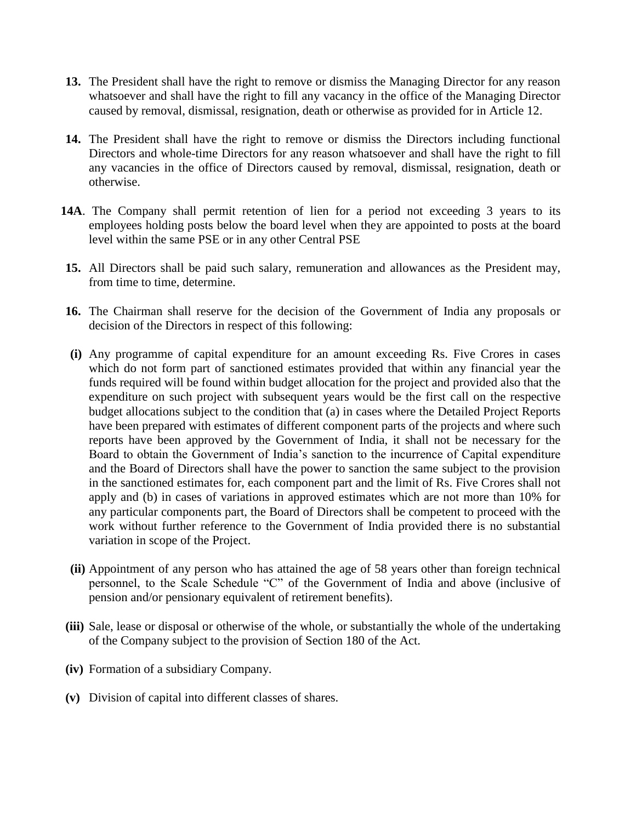- **13.** The President shall have the right to remove or dismiss the Managing Director for any reason whatsoever and shall have the right to fill any vacancy in the office of the Managing Director caused by removal, dismissal, resignation, death or otherwise as provided for in Article 12.
- **14.** The President shall have the right to remove or dismiss the Directors including functional Directors and whole-time Directors for any reason whatsoever and shall have the right to fill any vacancies in the office of Directors caused by removal, dismissal, resignation, death or otherwise.
- **14A**. The Company shall permit retention of lien for a period not exceeding 3 years to its employees holding posts below the board level when they are appointed to posts at the board level within the same PSE or in any other Central PSE
- **15.** All Directors shall be paid such salary, remuneration and allowances as the President may, from time to time, determine.
- **16.** The Chairman shall reserve for the decision of the Government of India any proposals or decision of the Directors in respect of this following:
- **(i)** Any programme of capital expenditure for an amount exceeding Rs. Five Crores in cases which do not form part of sanctioned estimates provided that within any financial year the funds required will be found within budget allocation for the project and provided also that the expenditure on such project with subsequent years would be the first call on the respective budget allocations subject to the condition that (a) in cases where the Detailed Project Reports have been prepared with estimates of different component parts of the projects and where such reports have been approved by the Government of India, it shall not be necessary for the Board to obtain the Government of India's sanction to the incurrence of Capital expenditure and the Board of Directors shall have the power to sanction the same subject to the provision in the sanctioned estimates for, each component part and the limit of Rs. Five Crores shall not apply and (b) in cases of variations in approved estimates which are not more than 10% for any particular components part, the Board of Directors shall be competent to proceed with the work without further reference to the Government of India provided there is no substantial variation in scope of the Project.
- **(ii)** Appointment of any person who has attained the age of 58 years other than foreign technical personnel, to the Scale Schedule "C" of the Government of India and above (inclusive of pension and/or pensionary equivalent of retirement benefits).
- **(iii)** Sale, lease or disposal or otherwise of the whole, or substantially the whole of the undertaking of the Company subject to the provision of Section 180 of the Act.
- **(iv)** Formation of a subsidiary Company.
- **(v)** Division of capital into different classes of shares.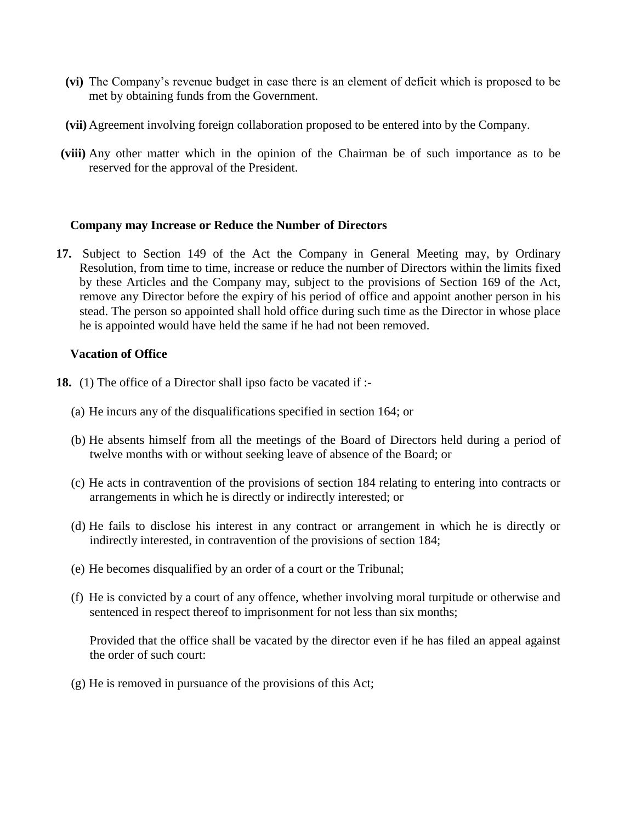- **(vi)** The Company's revenue budget in case there is an element of deficit which is proposed to be met by obtaining funds from the Government.
- **(vii)** Agreement involving foreign collaboration proposed to be entered into by the Company.
- **(viii)** Any other matter which in the opinion of the Chairman be of such importance as to be reserved for the approval of the President.

### **Company may Increase or Reduce the Number of Directors**

**17.** Subject to Section 149 of the Act the Company in General Meeting may, by Ordinary Resolution, from time to time, increase or reduce the number of Directors within the limits fixed by these Articles and the Company may, subject to the provisions of Section 169 of the Act, remove any Director before the expiry of his period of office and appoint another person in his stead. The person so appointed shall hold office during such time as the Director in whose place he is appointed would have held the same if he had not been removed.

#### **Vacation of Office**

- **18.** (1) The office of a Director shall ipso facto be vacated if :-
	- (a) He incurs any of the disqualifications specified in section 164; or
	- (b) He absents himself from all the meetings of the Board of Directors held during a period of twelve months with or without seeking leave of absence of the Board; or
	- (c) He acts in contravention of the provisions of section 184 relating to entering into contracts or arrangements in which he is directly or indirectly interested; or
	- (d) He fails to disclose his interest in any contract or arrangement in which he is directly or indirectly interested, in contravention of the provisions of section 184;
	- (e) He becomes disqualified by an order of a court or the Tribunal;
	- (f) He is convicted by a court of any offence, whether involving moral turpitude or otherwise and sentenced in respect thereof to imprisonment for not less than six months;

Provided that the office shall be vacated by the director even if he has filed an appeal against the order of such court:

(g) He is removed in pursuance of the provisions of this Act;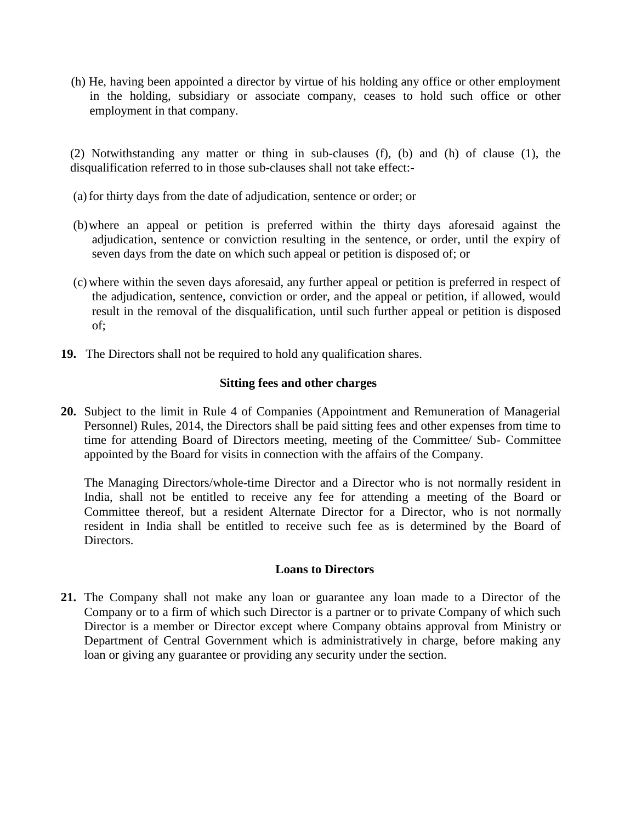(h) He, having been appointed a director by virtue of his holding any office or other employment in the holding, subsidiary or associate company, ceases to hold such office or other employment in that company.

(2) Notwithstanding any matter or thing in sub-clauses (f), (b) and (h) of clause (1), the disqualification referred to in those sub-clauses shall not take effect:-

- (a)for thirty days from the date of adjudication, sentence or order; or
- (b)where an appeal or petition is preferred within the thirty days aforesaid against the adjudication, sentence or conviction resulting in the sentence, or order, until the expiry of seven days from the date on which such appeal or petition is disposed of; or
- (c) where within the seven days aforesaid, any further appeal or petition is preferred in respect of the adjudication, sentence, conviction or order, and the appeal or petition, if allowed, would result in the removal of the disqualification, until such further appeal or petition is disposed of;
- **19.** The Directors shall not be required to hold any qualification shares.

### **Sitting fees and other charges**

**20.** Subject to the limit in Rule 4 of Companies (Appointment and Remuneration of Managerial Personnel) Rules, 2014, the Directors shall be paid sitting fees and other expenses from time to time for attending Board of Directors meeting, meeting of the Committee/ Sub- Committee appointed by the Board for visits in connection with the affairs of the Company.

The Managing Directors/whole-time Director and a Director who is not normally resident in India, shall not be entitled to receive any fee for attending a meeting of the Board or Committee thereof, but a resident Alternate Director for a Director, who is not normally resident in India shall be entitled to receive such fee as is determined by the Board of Directors.

### **Loans to Directors**

**21.** The Company shall not make any loan or guarantee any loan made to a Director of the Company or to a firm of which such Director is a partner or to private Company of which such Director is a member or Director except where Company obtains approval from Ministry or Department of Central Government which is administratively in charge, before making any loan or giving any guarantee or providing any security under the section.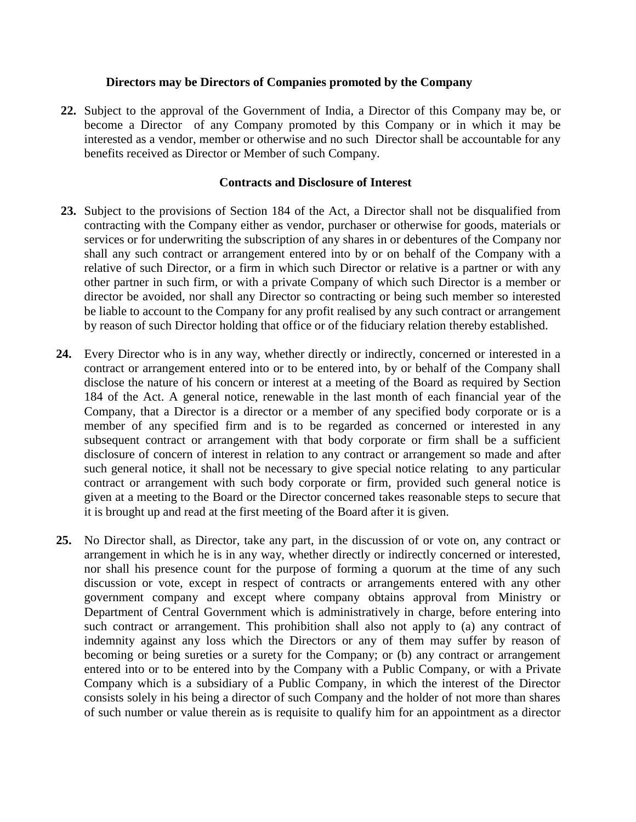### **Directors may be Directors of Companies promoted by the Company**

**22.** Subject to the approval of the Government of India, a Director of this Company may be, or become a Director of any Company promoted by this Company or in which it may be interested as a vendor, member or otherwise and no such Director shall be accountable for any benefits received as Director or Member of such Company.

#### **Contracts and Disclosure of Interest**

- **23.** Subject to the provisions of Section 184 of the Act, a Director shall not be disqualified from contracting with the Company either as vendor, purchaser or otherwise for goods, materials or services or for underwriting the subscription of any shares in or debentures of the Company nor shall any such contract or arrangement entered into by or on behalf of the Company with a relative of such Director, or a firm in which such Director or relative is a partner or with any other partner in such firm, or with a private Company of which such Director is a member or director be avoided, nor shall any Director so contracting or being such member so interested be liable to account to the Company for any profit realised by any such contract or arrangement by reason of such Director holding that office or of the fiduciary relation thereby established.
- **24.** Every Director who is in any way, whether directly or indirectly, concerned or interested in a contract or arrangement entered into or to be entered into, by or behalf of the Company shall disclose the nature of his concern or interest at a meeting of the Board as required by Section 184 of the Act. A general notice, renewable in the last month of each financial year of the Company, that a Director is a director or a member of any specified body corporate or is a member of any specified firm and is to be regarded as concerned or interested in any subsequent contract or arrangement with that body corporate or firm shall be a sufficient disclosure of concern of interest in relation to any contract or arrangement so made and after such general notice, it shall not be necessary to give special notice relating to any particular contract or arrangement with such body corporate or firm, provided such general notice is given at a meeting to the Board or the Director concerned takes reasonable steps to secure that it is brought up and read at the first meeting of the Board after it is given.
- **25.** No Director shall, as Director, take any part, in the discussion of or vote on, any contract or arrangement in which he is in any way, whether directly or indirectly concerned or interested, nor shall his presence count for the purpose of forming a quorum at the time of any such discussion or vote, except in respect of contracts or arrangements entered with any other government company and except where company obtains approval from Ministry or Department of Central Government which is administratively in charge, before entering into such contract or arrangement. This prohibition shall also not apply to (a) any contract of indemnity against any loss which the Directors or any of them may suffer by reason of becoming or being sureties or a surety for the Company; or (b) any contract or arrangement entered into or to be entered into by the Company with a Public Company, or with a Private Company which is a subsidiary of a Public Company, in which the interest of the Director consists solely in his being a director of such Company and the holder of not more than shares of such number or value therein as is requisite to qualify him for an appointment as a director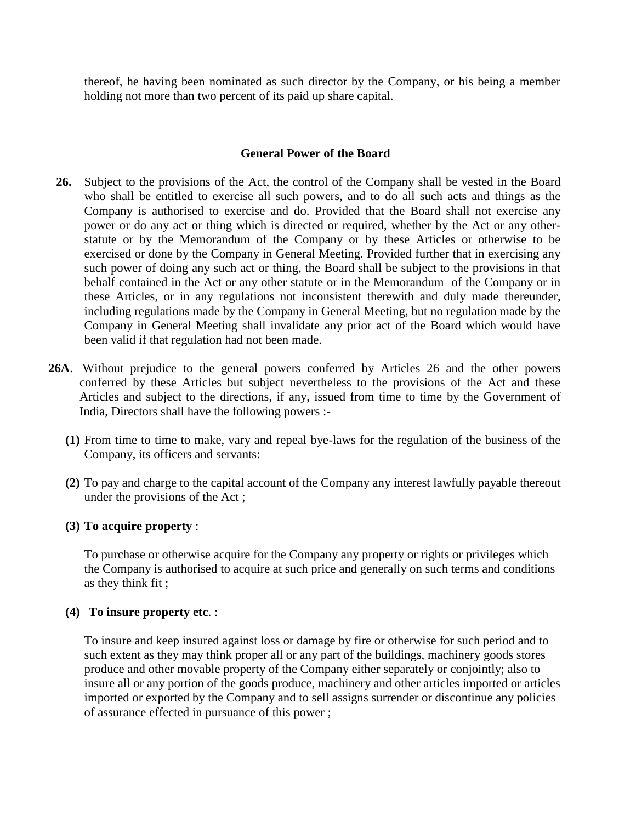thereof, he having been nominated as such director by the Company, or his being a member holding not more than two percent of its paid up share capital.

## **General Power of the Board**

- **26.** Subject to the provisions of the Act, the control of the Company shall be vested in the Board who shall be entitled to exercise all such powers, and to do all such acts and things as the Company is authorised to exercise and do. Provided that the Board shall not exercise any power or do any act or thing which is directed or required, whether by the Act or any otherstatute or by the Memorandum of the Company or by these Articles or otherwise to be exercised or done by the Company in General Meeting. Provided further that in exercising any such power of doing any such act or thing, the Board shall be subject to the provisions in that behalf contained in the Act or any other statute or in the Memorandum of the Company or in these Articles, or in any regulations not inconsistent therewith and duly made thereunder, including regulations made by the Company in General Meeting, but no regulation made by the Company in General Meeting shall invalidate any prior act of the Board which would have been valid if that regulation had not been made.
- **26A**. Without prejudice to the general powers conferred by Articles 26 and the other powers conferred by these Articles but subject nevertheless to the provisions of the Act and these Articles and subject to the directions, if any, issued from time to time by the Government of India, Directors shall have the following powers :-
	- **(1)** From time to time to make, vary and repeal bye-laws for the regulation of the business of the Company, its officers and servants:
	- **(2)** To pay and charge to the capital account of the Company any interest lawfully payable thereout under the provisions of the Act ;

# **(3) To acquire property** :

To purchase or otherwise acquire for the Company any property or rights or privileges which the Company is authorised to acquire at such price and generally on such terms and conditions as they think fit ;

### **(4) To insure property etc**. :

To insure and keep insured against loss or damage by fire or otherwise for such period and to such extent as they may think proper all or any part of the buildings, machinery goods stores produce and other movable property of the Company either separately or conjointly; also to insure all or any portion of the goods produce, machinery and other articles imported or articles imported or exported by the Company and to sell assigns surrender or discontinue any policies of assurance effected in pursuance of this power ;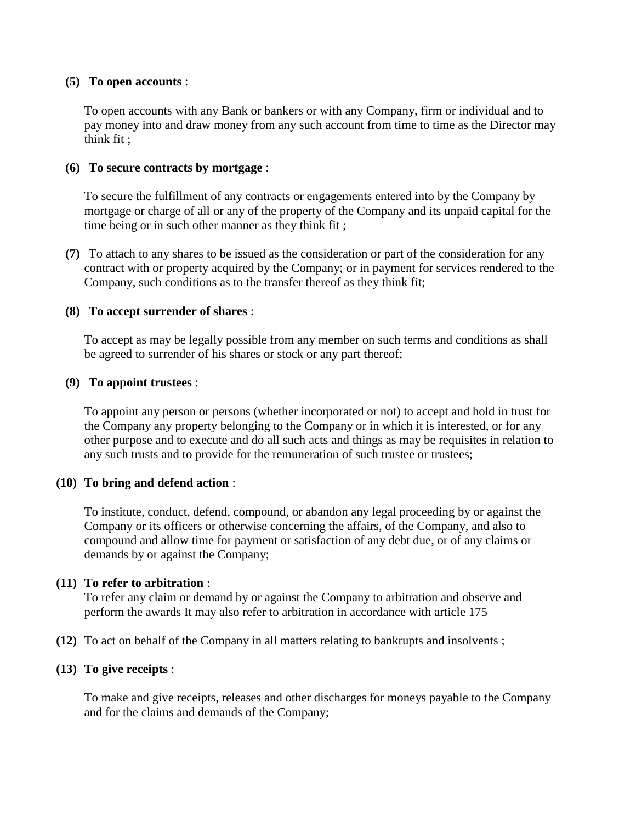### **(5) To open accounts** :

To open accounts with any Bank or bankers or with any Company, firm or individual and to pay money into and draw money from any such account from time to time as the Director may think fit ;

### **(6) To secure contracts by mortgage** :

To secure the fulfillment of any contracts or engagements entered into by the Company by mortgage or charge of all or any of the property of the Company and its unpaid capital for the time being or in such other manner as they think fit ;

**(7)** To attach to any shares to be issued as the consideration or part of the consideration for any contract with or property acquired by the Company; or in payment for services rendered to the Company, such conditions as to the transfer thereof as they think fit;

#### **(8) To accept surrender of shares** :

To accept as may be legally possible from any member on such terms and conditions as shall be agreed to surrender of his shares or stock or any part thereof;

#### **(9) To appoint trustees** :

To appoint any person or persons (whether incorporated or not) to accept and hold in trust for the Company any property belonging to the Company or in which it is interested, or for any other purpose and to execute and do all such acts and things as may be requisites in relation to any such trusts and to provide for the remuneration of such trustee or trustees;

### **(10) To bring and defend action** :

To institute, conduct, defend, compound, or abandon any legal proceeding by or against the Company or its officers or otherwise concerning the affairs, of the Company, and also to compound and allow time for payment or satisfaction of any debt due, or of any claims or demands by or against the Company;

### **(11) To refer to arbitration** :

To refer any claim or demand by or against the Company to arbitration and observe and perform the awards It may also refer to arbitration in accordance with article 175

**(12)** To act on behalf of the Company in all matters relating to bankrupts and insolvents ;

### **(13) To give receipts** :

To make and give receipts, releases and other discharges for moneys payable to the Company and for the claims and demands of the Company;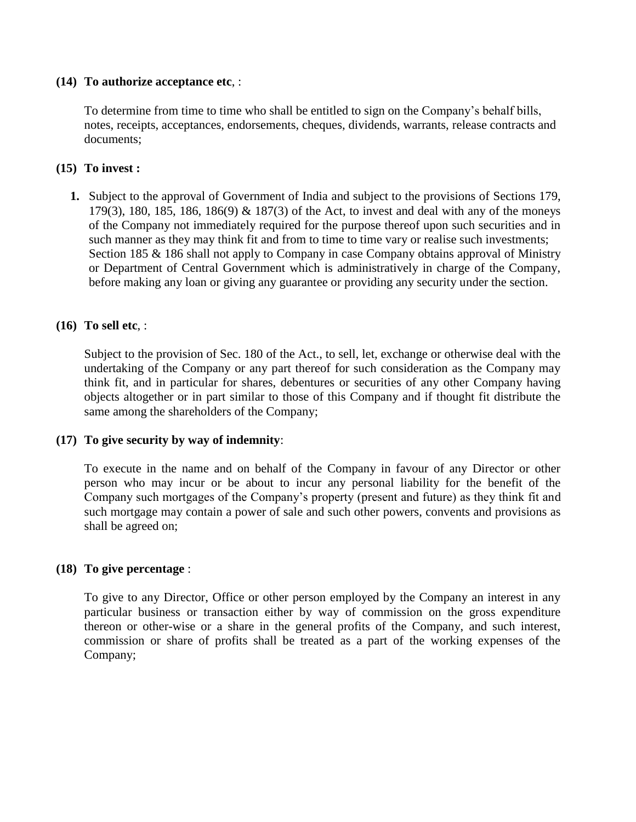### **(14) To authorize acceptance etc**, :

To determine from time to time who shall be entitled to sign on the Company's behalf bills, notes, receipts, acceptances, endorsements, cheques, dividends, warrants, release contracts and documents;

## **(15) To invest :**

**1.** Subject to the approval of Government of India and subject to the provisions of Sections 179, 179(3), 180, 185, 186, 186(9) & 187(3) of the Act, to invest and deal with any of the moneys of the Company not immediately required for the purpose thereof upon such securities and in such manner as they may think fit and from to time to time vary or realise such investments; Section 185 & 186 shall not apply to Company in case Company obtains approval of Ministry or Department of Central Government which is administratively in charge of the Company, before making any loan or giving any guarantee or providing any security under the section.

### **(16) To sell etc**, :

Subject to the provision of Sec. 180 of the Act., to sell, let, exchange or otherwise deal with the undertaking of the Company or any part thereof for such consideration as the Company may think fit, and in particular for shares, debentures or securities of any other Company having objects altogether or in part similar to those of this Company and if thought fit distribute the same among the shareholders of the Company;

### **(17) To give security by way of indemnity**:

To execute in the name and on behalf of the Company in favour of any Director or other person who may incur or be about to incur any personal liability for the benefit of the Company such mortgages of the Company's property (present and future) as they think fit and such mortgage may contain a power of sale and such other powers, convents and provisions as shall be agreed on;

### **(18) To give percentage** :

To give to any Director, Office or other person employed by the Company an interest in any particular business or transaction either by way of commission on the gross expenditure thereon or other-wise or a share in the general profits of the Company, and such interest, commission or share of profits shall be treated as a part of the working expenses of the Company;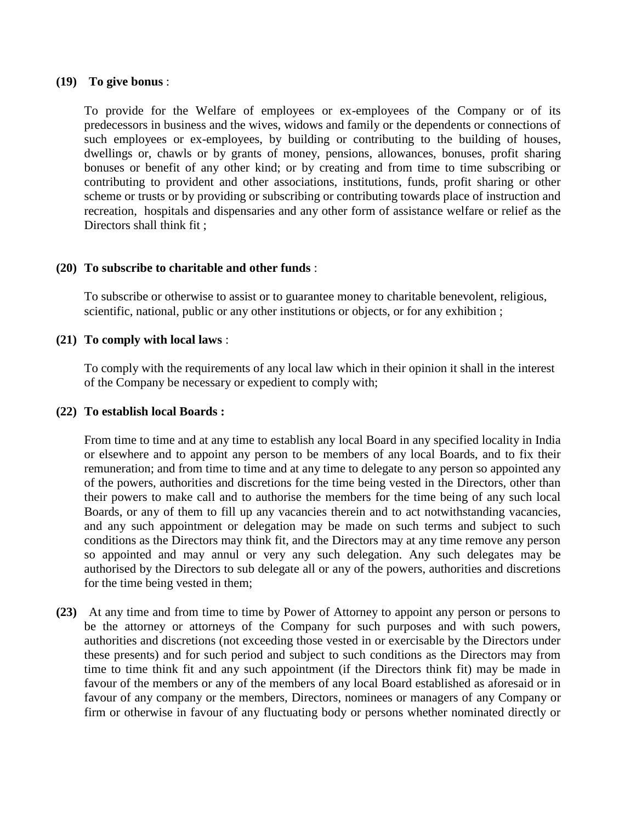### **(19) To give bonus** :

To provide for the Welfare of employees or ex-employees of the Company or of its predecessors in business and the wives, widows and family or the dependents or connections of such employees or ex-employees, by building or contributing to the building of houses, dwellings or, chawls or by grants of money, pensions, allowances, bonuses, profit sharing bonuses or benefit of any other kind; or by creating and from time to time subscribing or contributing to provident and other associations, institutions, funds, profit sharing or other scheme or trusts or by providing or subscribing or contributing towards place of instruction and recreation, hospitals and dispensaries and any other form of assistance welfare or relief as the Directors shall think fit ;

### **(20) To subscribe to charitable and other funds** :

To subscribe or otherwise to assist or to guarantee money to charitable benevolent, religious, scientific, national, public or any other institutions or objects, or for any exhibition ;

### **(21) To comply with local laws** :

To comply with the requirements of any local law which in their opinion it shall in the interest of the Company be necessary or expedient to comply with;

### **(22) To establish local Boards :**

From time to time and at any time to establish any local Board in any specified locality in India or elsewhere and to appoint any person to be members of any local Boards, and to fix their remuneration; and from time to time and at any time to delegate to any person so appointed any of the powers, authorities and discretions for the time being vested in the Directors, other than their powers to make call and to authorise the members for the time being of any such local Boards, or any of them to fill up any vacancies therein and to act notwithstanding vacancies, and any such appointment or delegation may be made on such terms and subject to such conditions as the Directors may think fit, and the Directors may at any time remove any person so appointed and may annul or very any such delegation. Any such delegates may be authorised by the Directors to sub delegate all or any of the powers, authorities and discretions for the time being vested in them;

**(23)** At any time and from time to time by Power of Attorney to appoint any person or persons to be the attorney or attorneys of the Company for such purposes and with such powers, authorities and discretions (not exceeding those vested in or exercisable by the Directors under these presents) and for such period and subject to such conditions as the Directors may from time to time think fit and any such appointment (if the Directors think fit) may be made in favour of the members or any of the members of any local Board established as aforesaid or in favour of any company or the members, Directors, nominees or managers of any Company or firm or otherwise in favour of any fluctuating body or persons whether nominated directly or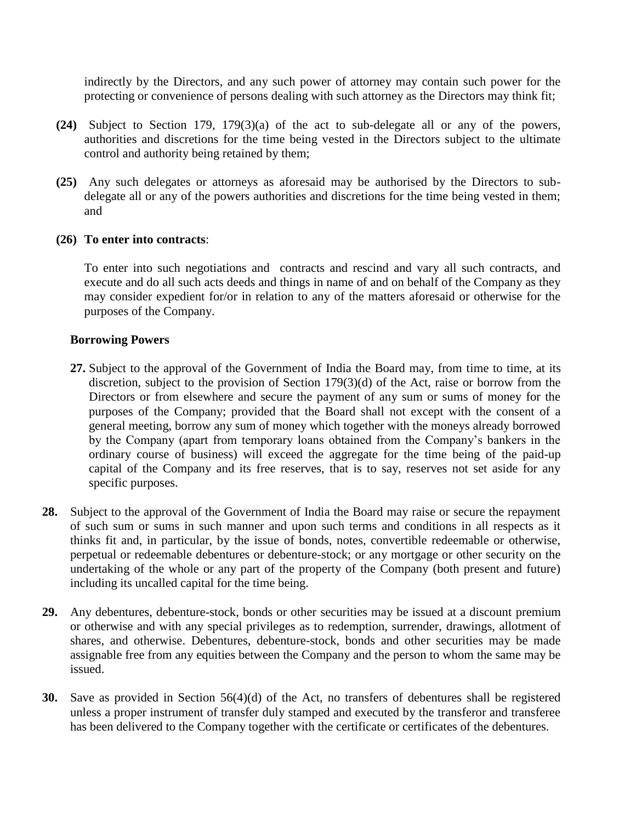indirectly by the Directors, and any such power of attorney may contain such power for the protecting or convenience of persons dealing with such attorney as the Directors may think fit;

- **(24)** Subject to Section 179, 179(3)(a) of the act to sub-delegate all or any of the powers, authorities and discretions for the time being vested in the Directors subject to the ultimate control and authority being retained by them;
- **(25)** Any such delegates or attorneys as aforesaid may be authorised by the Directors to subdelegate all or any of the powers authorities and discretions for the time being vested in them; and

### **(26) To enter into contracts**:

To enter into such negotiations and contracts and rescind and vary all such contracts, and execute and do all such acts deeds and things in name of and on behalf of the Company as they may consider expedient for/or in relation to any of the matters aforesaid or otherwise for the purposes of the Company.

### **Borrowing Powers**

- **27.** Subject to the approval of the Government of India the Board may, from time to time, at its discretion, subject to the provision of Section 179(3)(d) of the Act, raise or borrow from the Directors or from elsewhere and secure the payment of any sum or sums of money for the purposes of the Company; provided that the Board shall not except with the consent of a general meeting, borrow any sum of money which together with the moneys already borrowed by the Company (apart from temporary loans obtained from the Company's bankers in the ordinary course of business) will exceed the aggregate for the time being of the paid-up capital of the Company and its free reserves, that is to say, reserves not set aside for any specific purposes.
- **28.** Subject to the approval of the Government of India the Board may raise or secure the repayment of such sum or sums in such manner and upon such terms and conditions in all respects as it thinks fit and, in particular, by the issue of bonds, notes, convertible redeemable or otherwise, perpetual or redeemable debentures or debenture-stock; or any mortgage or other security on the undertaking of the whole or any part of the property of the Company (both present and future) including its uncalled capital for the time being.
- **29.** Any debentures, debenture-stock, bonds or other securities may be issued at a discount premium or otherwise and with any special privileges as to redemption, surrender, drawings, allotment of shares, and otherwise. Debentures, debenture-stock, bonds and other securities may be made assignable free from any equities between the Company and the person to whom the same may be issued.
- **30.** Save as provided in Section 56(4)(d) of the Act, no transfers of debentures shall be registered unless a proper instrument of transfer duly stamped and executed by the transferor and transferee has been delivered to the Company together with the certificate or certificates of the debentures.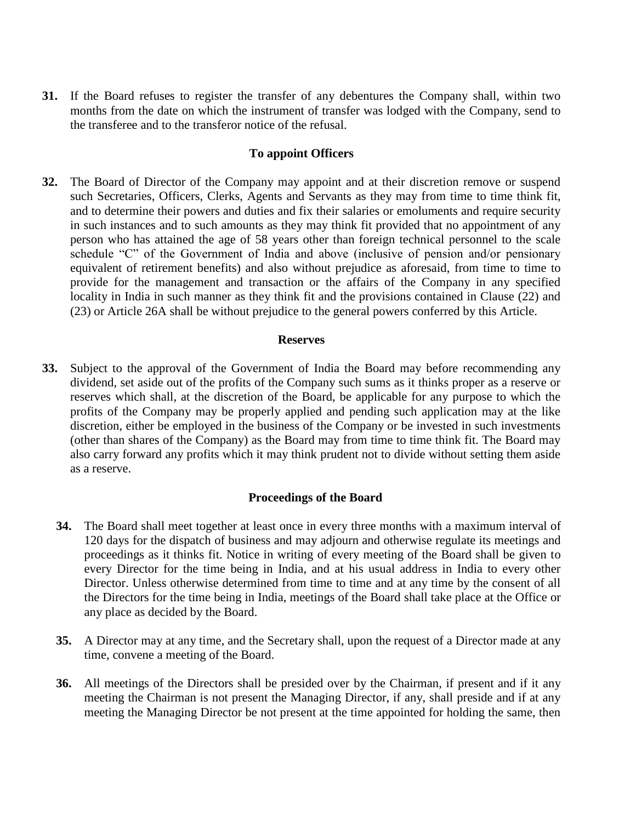**31.** If the Board refuses to register the transfer of any debentures the Company shall, within two months from the date on which the instrument of transfer was lodged with the Company, send to the transferee and to the transferor notice of the refusal.

#### **To appoint Officers**

**32.** The Board of Director of the Company may appoint and at their discretion remove or suspend such Secretaries, Officers, Clerks, Agents and Servants as they may from time to time think fit, and to determine their powers and duties and fix their salaries or emoluments and require security in such instances and to such amounts as they may think fit provided that no appointment of any person who has attained the age of 58 years other than foreign technical personnel to the scale schedule "C" of the Government of India and above (inclusive of pension and/or pensionary equivalent of retirement benefits) and also without prejudice as aforesaid, from time to time to provide for the management and transaction or the affairs of the Company in any specified locality in India in such manner as they think fit and the provisions contained in Clause (22) and (23) or Article 26A shall be without prejudice to the general powers conferred by this Article.

#### **Reserves**

**33.** Subject to the approval of the Government of India the Board may before recommending any dividend, set aside out of the profits of the Company such sums as it thinks proper as a reserve or reserves which shall, at the discretion of the Board, be applicable for any purpose to which the profits of the Company may be properly applied and pending such application may at the like discretion, either be employed in the business of the Company or be invested in such investments (other than shares of the Company) as the Board may from time to time think fit. The Board may also carry forward any profits which it may think prudent not to divide without setting them aside as a reserve.

### **Proceedings of the Board**

- **34.** The Board shall meet together at least once in every three months with a maximum interval of 120 days for the dispatch of business and may adjourn and otherwise regulate its meetings and proceedings as it thinks fit. Notice in writing of every meeting of the Board shall be given to every Director for the time being in India, and at his usual address in India to every other Director. Unless otherwise determined from time to time and at any time by the consent of all the Directors for the time being in India, meetings of the Board shall take place at the Office or any place as decided by the Board.
- **35.** A Director may at any time, and the Secretary shall, upon the request of a Director made at any time, convene a meeting of the Board.
- **36.** All meetings of the Directors shall be presided over by the Chairman, if present and if it any meeting the Chairman is not present the Managing Director, if any, shall preside and if at any meeting the Managing Director be not present at the time appointed for holding the same, then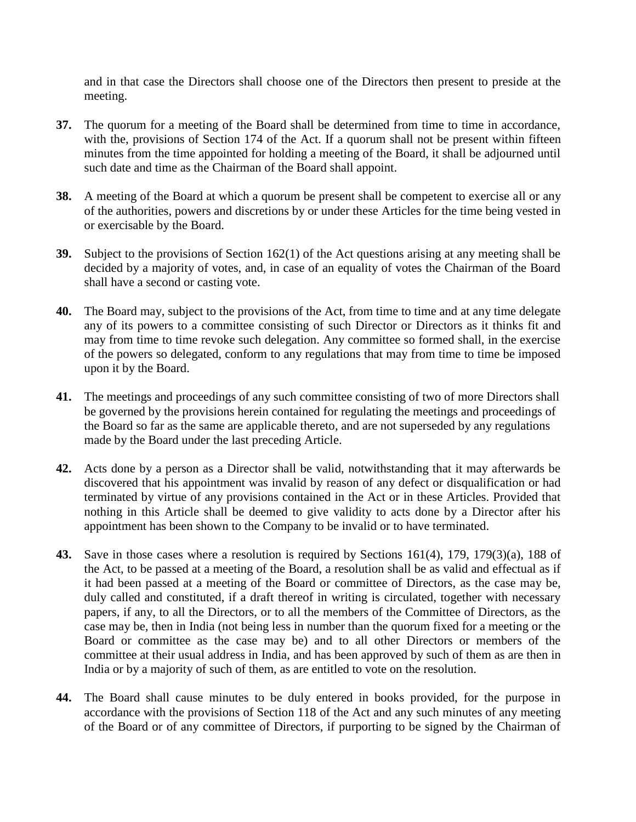and in that case the Directors shall choose one of the Directors then present to preside at the meeting.

- **37.** The quorum for a meeting of the Board shall be determined from time to time in accordance, with the, provisions of Section 174 of the Act. If a quorum shall not be present within fifteen minutes from the time appointed for holding a meeting of the Board, it shall be adjourned until such date and time as the Chairman of the Board shall appoint.
- **38.** A meeting of the Board at which a quorum be present shall be competent to exercise all or any of the authorities, powers and discretions by or under these Articles for the time being vested in or exercisable by the Board.
- **39.** Subject to the provisions of Section 162(1) of the Act questions arising at any meeting shall be decided by a majority of votes, and, in case of an equality of votes the Chairman of the Board shall have a second or casting vote.
- **40.** The Board may, subject to the provisions of the Act, from time to time and at any time delegate any of its powers to a committee consisting of such Director or Directors as it thinks fit and may from time to time revoke such delegation. Any committee so formed shall, in the exercise of the powers so delegated, conform to any regulations that may from time to time be imposed upon it by the Board.
- **41.** The meetings and proceedings of any such committee consisting of two of more Directors shall be governed by the provisions herein contained for regulating the meetings and proceedings of the Board so far as the same are applicable thereto, and are not superseded by any regulations made by the Board under the last preceding Article.
- **42.** Acts done by a person as a Director shall be valid, notwithstanding that it may afterwards be discovered that his appointment was invalid by reason of any defect or disqualification or had terminated by virtue of any provisions contained in the Act or in these Articles. Provided that nothing in this Article shall be deemed to give validity to acts done by a Director after his appointment has been shown to the Company to be invalid or to have terminated.
- **43.** Save in those cases where a resolution is required by Sections 161(4), 179, 179(3)(a), 188 of the Act, to be passed at a meeting of the Board, a resolution shall be as valid and effectual as if it had been passed at a meeting of the Board or committee of Directors, as the case may be, duly called and constituted, if a draft thereof in writing is circulated, together with necessary papers, if any, to all the Directors, or to all the members of the Committee of Directors, as the case may be, then in India (not being less in number than the quorum fixed for a meeting or the Board or committee as the case may be) and to all other Directors or members of the committee at their usual address in India, and has been approved by such of them as are then in India or by a majority of such of them, as are entitled to vote on the resolution.
- **44.** The Board shall cause minutes to be duly entered in books provided, for the purpose in accordance with the provisions of Section 118 of the Act and any such minutes of any meeting of the Board or of any committee of Directors, if purporting to be signed by the Chairman of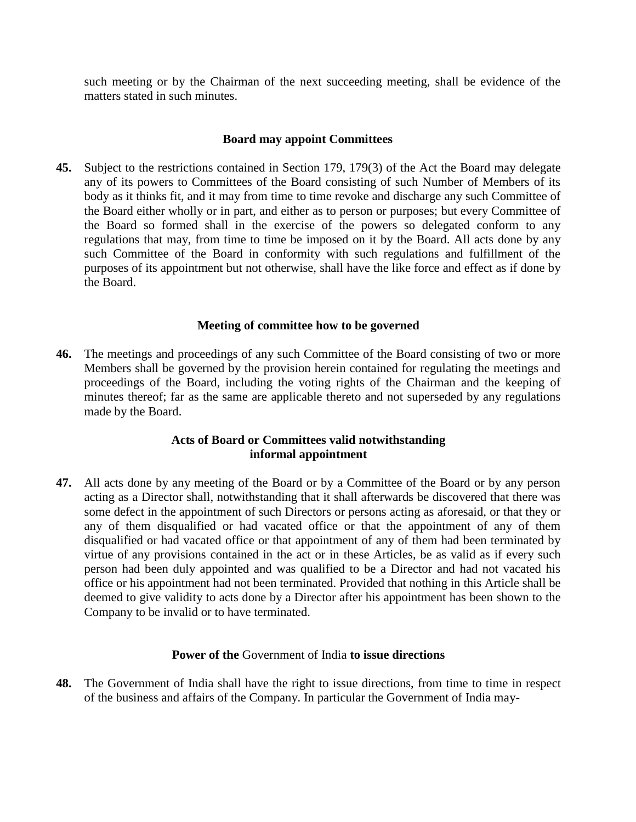such meeting or by the Chairman of the next succeeding meeting, shall be evidence of the matters stated in such minutes.

### **Board may appoint Committees**

**45.** Subject to the restrictions contained in Section 179, 179(3) of the Act the Board may delegate any of its powers to Committees of the Board consisting of such Number of Members of its body as it thinks fit, and it may from time to time revoke and discharge any such Committee of the Board either wholly or in part, and either as to person or purposes; but every Committee of the Board so formed shall in the exercise of the powers so delegated conform to any regulations that may, from time to time be imposed on it by the Board. All acts done by any such Committee of the Board in conformity with such regulations and fulfillment of the purposes of its appointment but not otherwise, shall have the like force and effect as if done by the Board.

### **Meeting of committee how to be governed**

**46.** The meetings and proceedings of any such Committee of the Board consisting of two or more Members shall be governed by the provision herein contained for regulating the meetings and proceedings of the Board, including the voting rights of the Chairman and the keeping of minutes thereof; far as the same are applicable thereto and not superseded by any regulations made by the Board.

### **Acts of Board or Committees valid notwithstanding informal appointment**

**47.** All acts done by any meeting of the Board or by a Committee of the Board or by any person acting as a Director shall, notwithstanding that it shall afterwards be discovered that there was some defect in the appointment of such Directors or persons acting as aforesaid, or that they or any of them disqualified or had vacated office or that the appointment of any of them disqualified or had vacated office or that appointment of any of them had been terminated by virtue of any provisions contained in the act or in these Articles, be as valid as if every such person had been duly appointed and was qualified to be a Director and had not vacated his office or his appointment had not been terminated. Provided that nothing in this Article shall be deemed to give validity to acts done by a Director after his appointment has been shown to the Company to be invalid or to have terminated.

# **Power of the** Government of India **to issue directions**

**48.** The Government of India shall have the right to issue directions, from time to time in respect of the business and affairs of the Company. In particular the Government of India may-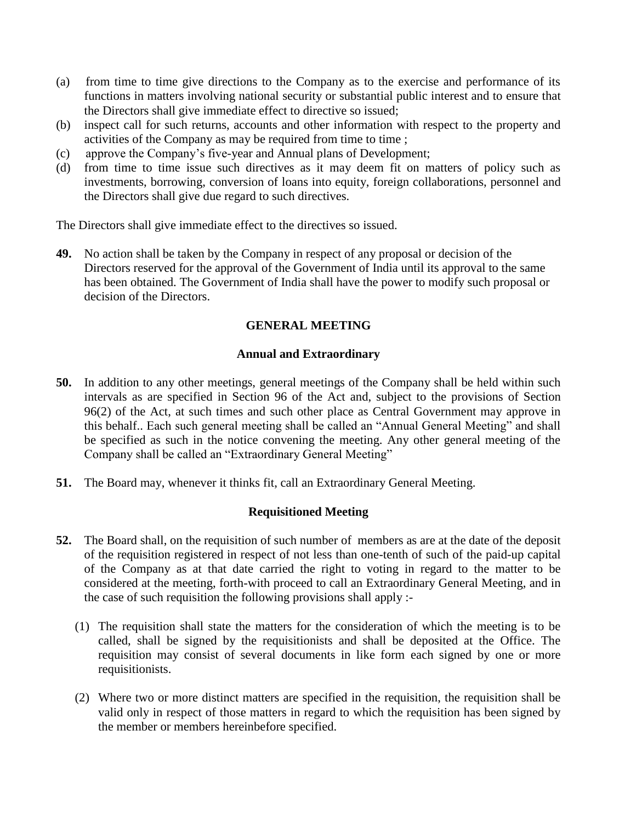- (a) from time to time give directions to the Company as to the exercise and performance of its functions in matters involving national security or substantial public interest and to ensure that the Directors shall give immediate effect to directive so issued;
- (b) inspect call for such returns, accounts and other information with respect to the property and activities of the Company as may be required from time to time ;
- (c) approve the Company's five-year and Annual plans of Development;
- (d) from time to time issue such directives as it may deem fit on matters of policy such as investments, borrowing, conversion of loans into equity, foreign collaborations, personnel and the Directors shall give due regard to such directives.

The Directors shall give immediate effect to the directives so issued.

**49.** No action shall be taken by the Company in respect of any proposal or decision of the Directors reserved for the approval of the Government of India until its approval to the same has been obtained. The Government of India shall have the power to modify such proposal or decision of the Directors.

# **GENERAL MEETING**

### **Annual and Extraordinary**

- **50.** In addition to any other meetings, general meetings of the Company shall be held within such intervals as are specified in Section 96 of the Act and, subject to the provisions of Section 96(2) of the Act, at such times and such other place as Central Government may approve in this behalf.. Each such general meeting shall be called an "Annual General Meeting" and shall be specified as such in the notice convening the meeting. Any other general meeting of the Company shall be called an "Extraordinary General Meeting"
- **51.** The Board may, whenever it thinks fit, call an Extraordinary General Meeting.

### **Requisitioned Meeting**

- **52.** The Board shall, on the requisition of such number of members as are at the date of the deposit of the requisition registered in respect of not less than one-tenth of such of the paid-up capital of the Company as at that date carried the right to voting in regard to the matter to be considered at the meeting, forth-with proceed to call an Extraordinary General Meeting, and in the case of such requisition the following provisions shall apply :-
	- (1) The requisition shall state the matters for the consideration of which the meeting is to be called, shall be signed by the requisitionists and shall be deposited at the Office. The requisition may consist of several documents in like form each signed by one or more requisitionists.
	- (2) Where two or more distinct matters are specified in the requisition, the requisition shall be valid only in respect of those matters in regard to which the requisition has been signed by the member or members hereinbefore specified.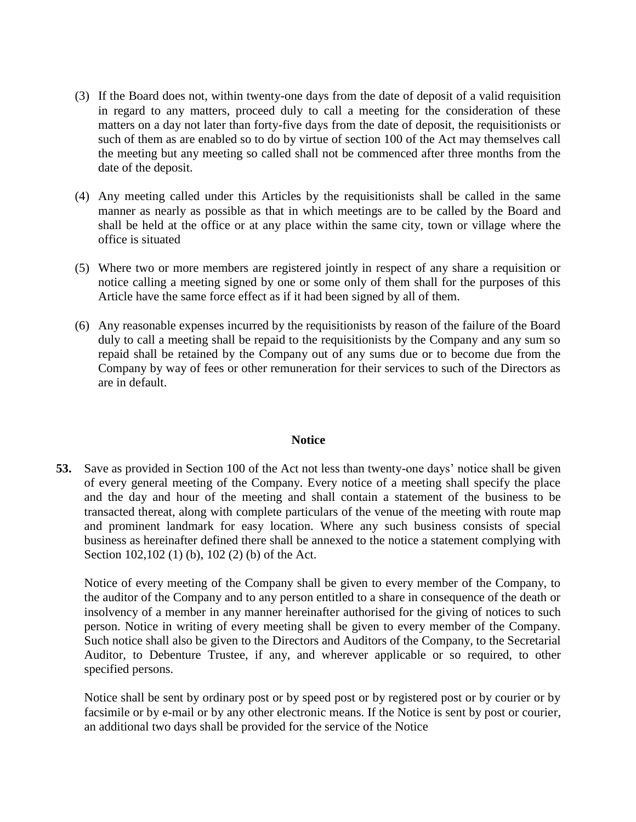- (3) If the Board does not, within twenty-one days from the date of deposit of a valid requisition in regard to any matters, proceed duly to call a meeting for the consideration of these matters on a day not later than forty-five days from the date of deposit, the requisitionists or such of them as are enabled so to do by virtue of section 100 of the Act may themselves call the meeting but any meeting so called shall not be commenced after three months from the date of the deposit.
- (4) Any meeting called under this Articles by the requisitionists shall be called in the same manner as nearly as possible as that in which meetings are to be called by the Board and shall be held at the office or at any place within the same city, town or village where the office is situated
- (5) Where two or more members are registered jointly in respect of any share a requisition or notice calling a meeting signed by one or some only of them shall for the purposes of this Article have the same force effect as if it had been signed by all of them.
- (6) Any reasonable expenses incurred by the requisitionists by reason of the failure of the Board duly to call a meeting shall be repaid to the requisitionists by the Company and any sum so repaid shall be retained by the Company out of any sums due or to become due from the Company by way of fees or other remuneration for their services to such of the Directors as are in default.

#### **Notice**

**53.** Save as provided in Section 100 of the Act not less than twenty-one days' notice shall be given of every general meeting of the Company. Every notice of a meeting shall specify the place and the day and hour of the meeting and shall contain a statement of the business to be transacted thereat, along with complete particulars of the venue of the meeting with route map and prominent landmark for easy location. Where any such business consists of special business as hereinafter defined there shall be annexed to the notice a statement complying with Section 102,102 (1) (b), 102 (2) (b) of the Act.

Notice of every meeting of the Company shall be given to every member of the Company, to the auditor of the Company and to any person entitled to a share in consequence of the death or insolvency of a member in any manner hereinafter authorised for the giving of notices to such person. Notice in writing of every meeting shall be given to every member of the Company. Such notice shall also be given to the Directors and Auditors of the Company, to the Secretarial Auditor, to Debenture Trustee, if any, and wherever applicable or so required, to other specified persons.

Notice shall be sent by ordinary post or by speed post or by registered post or by courier or by facsimile or by e-mail or by any other electronic means. If the Notice is sent by post or courier, an additional two days shall be provided for the service of the Notice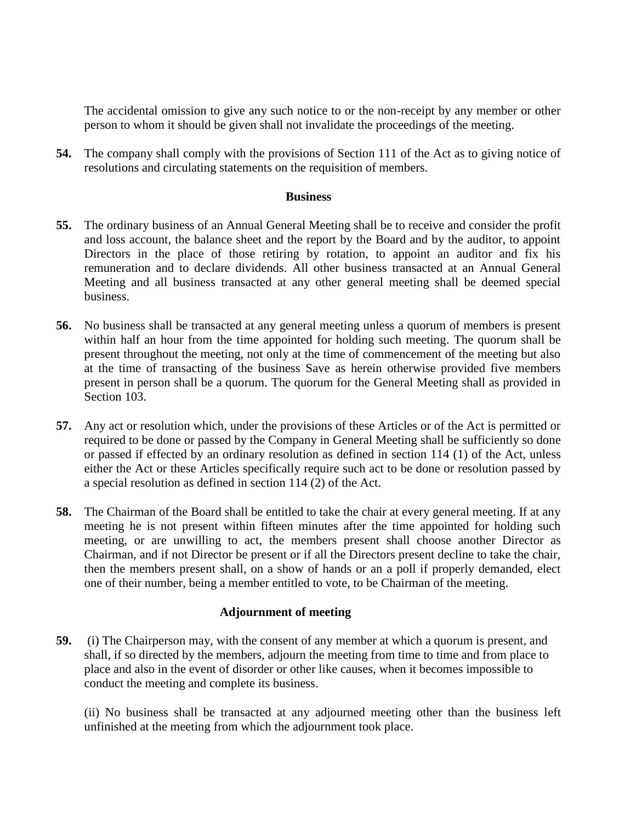The accidental omission to give any such notice to or the non-receipt by any member or other person to whom it should be given shall not invalidate the proceedings of the meeting.

**54.** The company shall comply with the provisions of Section 111 of the Act as to giving notice of resolutions and circulating statements on the requisition of members.

#### **Business**

- **55.** The ordinary business of an Annual General Meeting shall be to receive and consider the profit and loss account, the balance sheet and the report by the Board and by the auditor, to appoint Directors in the place of those retiring by rotation, to appoint an auditor and fix his remuneration and to declare dividends. All other business transacted at an Annual General Meeting and all business transacted at any other general meeting shall be deemed special business.
- **56.** No business shall be transacted at any general meeting unless a quorum of members is present within half an hour from the time appointed for holding such meeting. The quorum shall be present throughout the meeting, not only at the time of commencement of the meeting but also at the time of transacting of the business Save as herein otherwise provided five members present in person shall be a quorum. The quorum for the General Meeting shall as provided in Section 103.
- **57.** Any act or resolution which, under the provisions of these Articles or of the Act is permitted or required to be done or passed by the Company in General Meeting shall be sufficiently so done or passed if effected by an ordinary resolution as defined in section 114 (1) of the Act, unless either the Act or these Articles specifically require such act to be done or resolution passed by a special resolution as defined in section 114 (2) of the Act.
- **58.** The Chairman of the Board shall be entitled to take the chair at every general meeting. If at any meeting he is not present within fifteen minutes after the time appointed for holding such meeting, or are unwilling to act, the members present shall choose another Director as Chairman, and if not Director be present or if all the Directors present decline to take the chair, then the members present shall, on a show of hands or an a poll if properly demanded, elect one of their number, being a member entitled to vote, to be Chairman of the meeting.

### **Adjournment of meeting**

**59.** (i) The Chairperson may, with the consent of any member at which a quorum is present, and shall, if so directed by the members, adjourn the meeting from time to time and from place to place and also in the event of disorder or other like causes, when it becomes impossible to conduct the meeting and complete its business.

(ii) No business shall be transacted at any adjourned meeting other than the business left unfinished at the meeting from which the adjournment took place.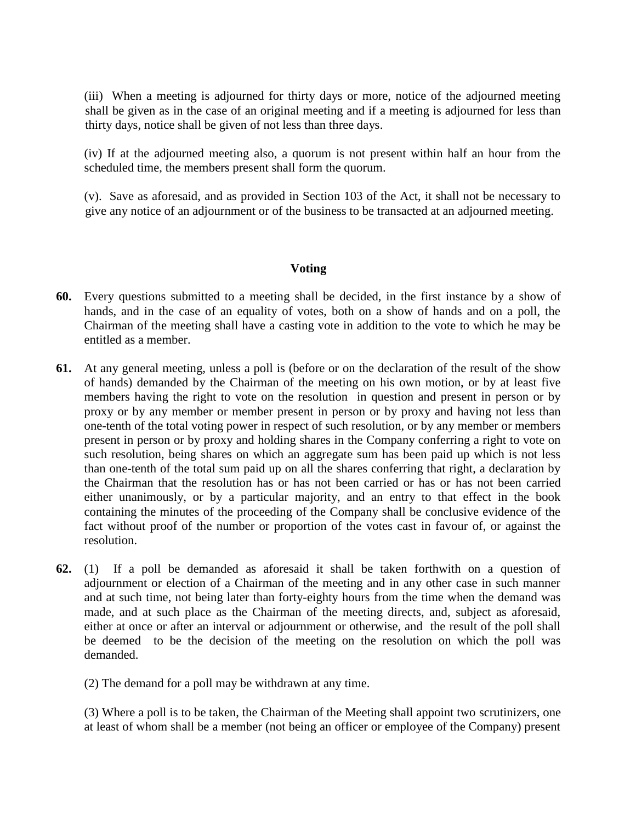(iii) When a meeting is adjourned for thirty days or more, notice of the adjourned meeting shall be given as in the case of an original meeting and if a meeting is adjourned for less than thirty days, notice shall be given of not less than three days.

(iv) If at the adjourned meeting also, a quorum is not present within half an hour from the scheduled time, the members present shall form the quorum.

(v). Save as aforesaid, and as provided in Section 103 of the Act, it shall not be necessary to give any notice of an adjournment or of the business to be transacted at an adjourned meeting.

### **Voting**

- **60.** Every questions submitted to a meeting shall be decided, in the first instance by a show of hands, and in the case of an equality of votes, both on a show of hands and on a poll, the Chairman of the meeting shall have a casting vote in addition to the vote to which he may be entitled as a member.
- **61.** At any general meeting, unless a poll is (before or on the declaration of the result of the show of hands) demanded by the Chairman of the meeting on his own motion, or by at least five members having the right to vote on the resolution in question and present in person or by proxy or by any member or member present in person or by proxy and having not less than one-tenth of the total voting power in respect of such resolution, or by any member or members present in person or by proxy and holding shares in the Company conferring a right to vote on such resolution, being shares on which an aggregate sum has been paid up which is not less than one-tenth of the total sum paid up on all the shares conferring that right, a declaration by the Chairman that the resolution has or has not been carried or has or has not been carried either unanimously, or by a particular majority, and an entry to that effect in the book containing the minutes of the proceeding of the Company shall be conclusive evidence of the fact without proof of the number or proportion of the votes cast in favour of, or against the resolution.
- **62.** (1) If a poll be demanded as aforesaid it shall be taken forthwith on a question of adjournment or election of a Chairman of the meeting and in any other case in such manner and at such time, not being later than forty-eighty hours from the time when the demand was made, and at such place as the Chairman of the meeting directs, and, subject as aforesaid, either at once or after an interval or adjournment or otherwise, and the result of the poll shall be deemed to be the decision of the meeting on the resolution on which the poll was demanded.

(2) The demand for a poll may be withdrawn at any time.

(3) Where a poll is to be taken, the Chairman of the Meeting shall appoint two scrutinizers, one at least of whom shall be a member (not being an officer or employee of the Company) present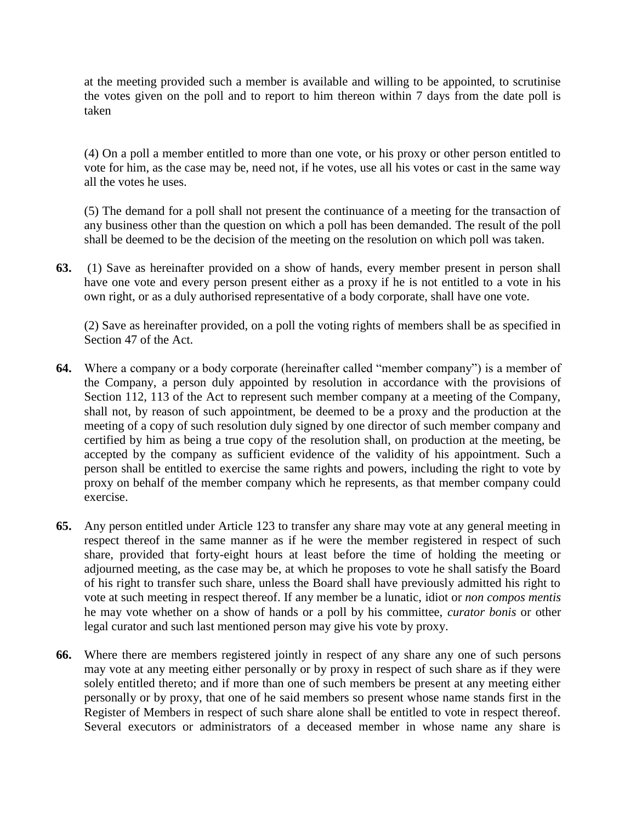at the meeting provided such a member is available and willing to be appointed, to scrutinise the votes given on the poll and to report to him thereon within 7 days from the date poll is taken

(4) On a poll a member entitled to more than one vote, or his proxy or other person entitled to vote for him, as the case may be, need not, if he votes, use all his votes or cast in the same way all the votes he uses.

(5) The demand for a poll shall not present the continuance of a meeting for the transaction of any business other than the question on which a poll has been demanded. The result of the poll shall be deemed to be the decision of the meeting on the resolution on which poll was taken.

**63.** (1) Save as hereinafter provided on a show of hands, every member present in person shall have one vote and every person present either as a proxy if he is not entitled to a vote in his own right, or as a duly authorised representative of a body corporate, shall have one vote.

(2) Save as hereinafter provided, on a poll the voting rights of members shall be as specified in Section 47 of the Act.

- **64.** Where a company or a body corporate (hereinafter called "member company") is a member of the Company, a person duly appointed by resolution in accordance with the provisions of Section 112, 113 of the Act to represent such member company at a meeting of the Company, shall not, by reason of such appointment, be deemed to be a proxy and the production at the meeting of a copy of such resolution duly signed by one director of such member company and certified by him as being a true copy of the resolution shall, on production at the meeting, be accepted by the company as sufficient evidence of the validity of his appointment. Such a person shall be entitled to exercise the same rights and powers, including the right to vote by proxy on behalf of the member company which he represents, as that member company could exercise.
- **65.** Any person entitled under Article 123 to transfer any share may vote at any general meeting in respect thereof in the same manner as if he were the member registered in respect of such share, provided that forty-eight hours at least before the time of holding the meeting or adjourned meeting, as the case may be, at which he proposes to vote he shall satisfy the Board of his right to transfer such share, unless the Board shall have previously admitted his right to vote at such meeting in respect thereof. If any member be a lunatic, idiot or *non compos mentis* he may vote whether on a show of hands or a poll by his committee, *curator bonis* or other legal curator and such last mentioned person may give his vote by proxy.
- **66.** Where there are members registered jointly in respect of any share any one of such persons may vote at any meeting either personally or by proxy in respect of such share as if they were solely entitled thereto; and if more than one of such members be present at any meeting either personally or by proxy, that one of he said members so present whose name stands first in the Register of Members in respect of such share alone shall be entitled to vote in respect thereof. Several executors or administrators of a deceased member in whose name any share is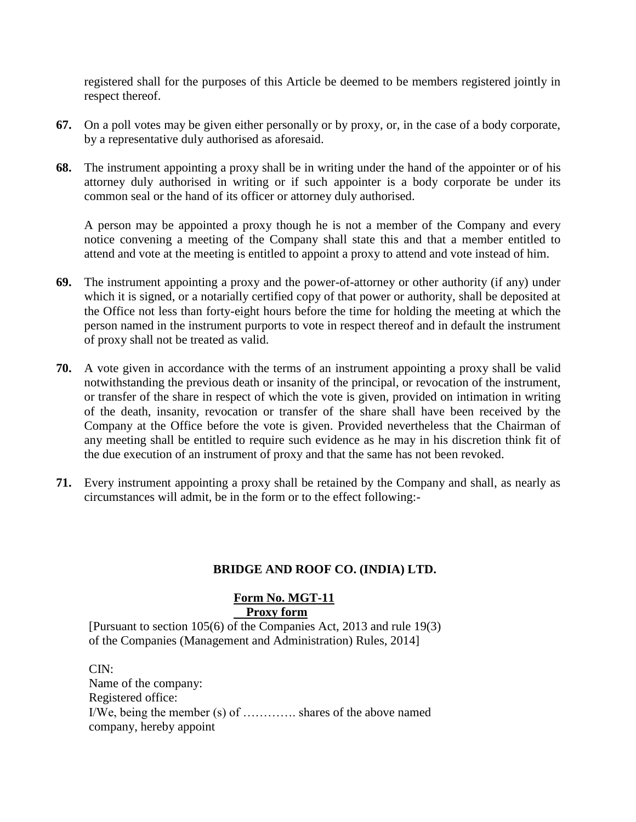registered shall for the purposes of this Article be deemed to be members registered jointly in respect thereof.

- **67.** On a poll votes may be given either personally or by proxy, or, in the case of a body corporate, by a representative duly authorised as aforesaid.
- **68.** The instrument appointing a proxy shall be in writing under the hand of the appointer or of his attorney duly authorised in writing or if such appointer is a body corporate be under its common seal or the hand of its officer or attorney duly authorised.

A person may be appointed a proxy though he is not a member of the Company and every notice convening a meeting of the Company shall state this and that a member entitled to attend and vote at the meeting is entitled to appoint a proxy to attend and vote instead of him.

- **69.** The instrument appointing a proxy and the power-of-attorney or other authority (if any) under which it is signed, or a notarially certified copy of that power or authority, shall be deposited at the Office not less than forty-eight hours before the time for holding the meeting at which the person named in the instrument purports to vote in respect thereof and in default the instrument of proxy shall not be treated as valid.
- **70.** A vote given in accordance with the terms of an instrument appointing a proxy shall be valid notwithstanding the previous death or insanity of the principal, or revocation of the instrument, or transfer of the share in respect of which the vote is given, provided on intimation in writing of the death, insanity, revocation or transfer of the share shall have been received by the Company at the Office before the vote is given. Provided nevertheless that the Chairman of any meeting shall be entitled to require such evidence as he may in his discretion think fit of the due execution of an instrument of proxy and that the same has not been revoked.
- **71.** Every instrument appointing a proxy shall be retained by the Company and shall, as nearly as circumstances will admit, be in the form or to the effect following:-

### **BRIDGE AND ROOF CO. (INDIA) LTD.**

#### **Form No. MGT-11 Proxy form**

[Pursuant to section 105(6) of the Companies Act, 2013 and rule 19(3) of the Companies (Management and Administration) Rules, 2014]

CIN:

Name of the company: Registered office: I/We, being the member (s) of …………. shares of the above named company, hereby appoint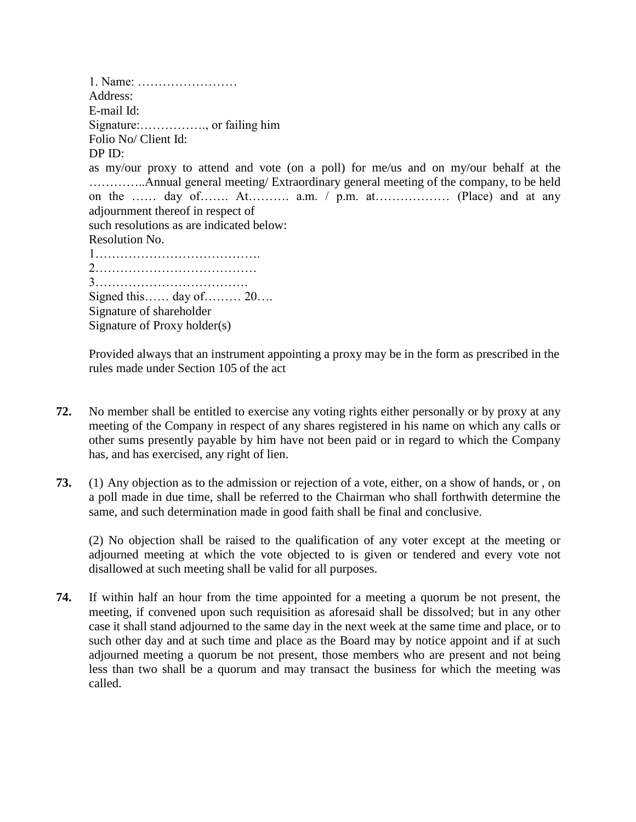1. Name: …………………… Address: E-mail Id: Signature:……………., or failing him Folio No/ Client Id: DP ID: as my/our proxy to attend and vote (on a poll) for me/us and on my/our behalf at the …………..Annual general meeting/ Extraordinary general meeting of the company, to be held on the …… day of……. At………. a.m. / p.m. at……………… (Place) and at any adjournment thereof in respect of such resolutions as are indicated below: Resolution No. 1…………………………………. 2………………………………… 3………………………………. Signed this…… day of……… 20…. Signature of shareholder Signature of Proxy holder(s)

Provided always that an instrument appointing a proxy may be in the form as prescribed in the rules made under Section 105 of the act

- **72.** No member shall be entitled to exercise any voting rights either personally or by proxy at any meeting of the Company in respect of any shares registered in his name on which any calls or other sums presently payable by him have not been paid or in regard to which the Company has, and has exercised, any right of lien.
- **73.** (1) Any objection as to the admission or rejection of a vote, either, on a show of hands, or , on a poll made in due time, shall be referred to the Chairman who shall forthwith determine the same, and such determination made in good faith shall be final and conclusive.

(2) No objection shall be raised to the qualification of any voter except at the meeting or adjourned meeting at which the vote objected to is given or tendered and every vote not disallowed at such meeting shall be valid for all purposes.

**74.** If within half an hour from the time appointed for a meeting a quorum be not present, the meeting, if convened upon such requisition as aforesaid shall be dissolved; but in any other case it shall stand adjourned to the same day in the next week at the same time and place, or to such other day and at such time and place as the Board may by notice appoint and if at such adjourned meeting a quorum be not present, those members who are present and not being less than two shall be a quorum and may transact the business for which the meeting was called.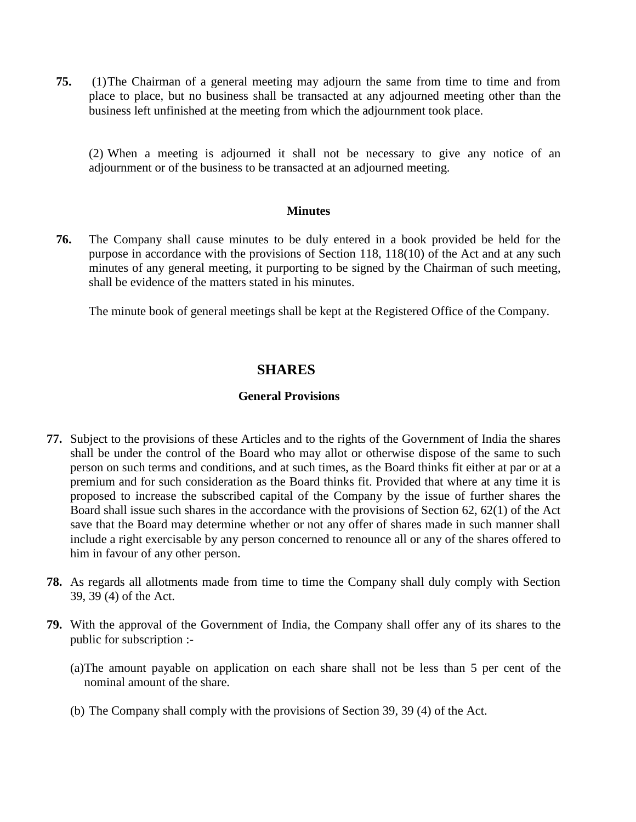**75.** (1)The Chairman of a general meeting may adjourn the same from time to time and from place to place, but no business shall be transacted at any adjourned meeting other than the business left unfinished at the meeting from which the adjournment took place.

(2) When a meeting is adjourned it shall not be necessary to give any notice of an adjournment or of the business to be transacted at an adjourned meeting.

#### **Minutes**

**76.** The Company shall cause minutes to be duly entered in a book provided be held for the purpose in accordance with the provisions of Section 118, 118(10) of the Act and at any such minutes of any general meeting, it purporting to be signed by the Chairman of such meeting, shall be evidence of the matters stated in his minutes.

The minute book of general meetings shall be kept at the Registered Office of the Company.

# **SHARES**

### **General Provisions**

- **77.** Subject to the provisions of these Articles and to the rights of the Government of India the shares shall be under the control of the Board who may allot or otherwise dispose of the same to such person on such terms and conditions, and at such times, as the Board thinks fit either at par or at a premium and for such consideration as the Board thinks fit. Provided that where at any time it is proposed to increase the subscribed capital of the Company by the issue of further shares the Board shall issue such shares in the accordance with the provisions of Section 62, 62(1) of the Act save that the Board may determine whether or not any offer of shares made in such manner shall include a right exercisable by any person concerned to renounce all or any of the shares offered to him in favour of any other person.
- **78.** As regards all allotments made from time to time the Company shall duly comply with Section 39, 39 (4) of the Act.
- **79.** With the approval of the Government of India, the Company shall offer any of its shares to the public for subscription :-
	- (a)The amount payable on application on each share shall not be less than 5 per cent of the nominal amount of the share.
	- (b) The Company shall comply with the provisions of Section 39, 39 (4) of the Act.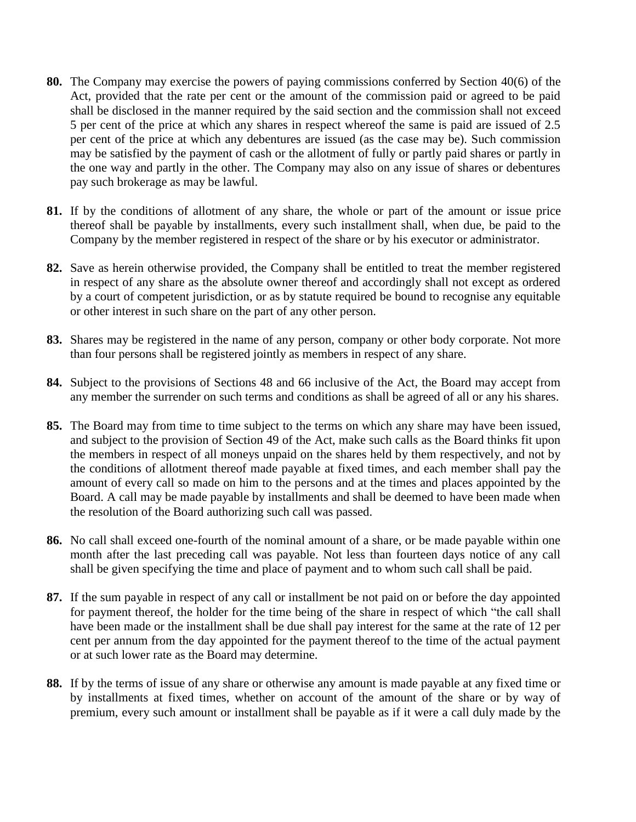- **80.** The Company may exercise the powers of paying commissions conferred by Section 40(6) of the Act, provided that the rate per cent or the amount of the commission paid or agreed to be paid shall be disclosed in the manner required by the said section and the commission shall not exceed 5 per cent of the price at which any shares in respect whereof the same is paid are issued of 2.5 per cent of the price at which any debentures are issued (as the case may be). Such commission may be satisfied by the payment of cash or the allotment of fully or partly paid shares or partly in the one way and partly in the other. The Company may also on any issue of shares or debentures pay such brokerage as may be lawful.
- **81.** If by the conditions of allotment of any share, the whole or part of the amount or issue price thereof shall be payable by installments, every such installment shall, when due, be paid to the Company by the member registered in respect of the share or by his executor or administrator.
- **82.** Save as herein otherwise provided, the Company shall be entitled to treat the member registered in respect of any share as the absolute owner thereof and accordingly shall not except as ordered by a court of competent jurisdiction, or as by statute required be bound to recognise any equitable or other interest in such share on the part of any other person.
- **83.** Shares may be registered in the name of any person, company or other body corporate. Not more than four persons shall be registered jointly as members in respect of any share.
- **84.** Subject to the provisions of Sections 48 and 66 inclusive of the Act, the Board may accept from any member the surrender on such terms and conditions as shall be agreed of all or any his shares.
- **85.** The Board may from time to time subject to the terms on which any share may have been issued, and subject to the provision of Section 49 of the Act, make such calls as the Board thinks fit upon the members in respect of all moneys unpaid on the shares held by them respectively, and not by the conditions of allotment thereof made payable at fixed times, and each member shall pay the amount of every call so made on him to the persons and at the times and places appointed by the Board. A call may be made payable by installments and shall be deemed to have been made when the resolution of the Board authorizing such call was passed.
- **86.** No call shall exceed one-fourth of the nominal amount of a share, or be made payable within one month after the last preceding call was payable. Not less than fourteen days notice of any call shall be given specifying the time and place of payment and to whom such call shall be paid.
- **87.** If the sum payable in respect of any call or installment be not paid on or before the day appointed for payment thereof, the holder for the time being of the share in respect of which "the call shall have been made or the installment shall be due shall pay interest for the same at the rate of 12 per cent per annum from the day appointed for the payment thereof to the time of the actual payment or at such lower rate as the Board may determine.
- **88.** If by the terms of issue of any share or otherwise any amount is made payable at any fixed time or by installments at fixed times, whether on account of the amount of the share or by way of premium, every such amount or installment shall be payable as if it were a call duly made by the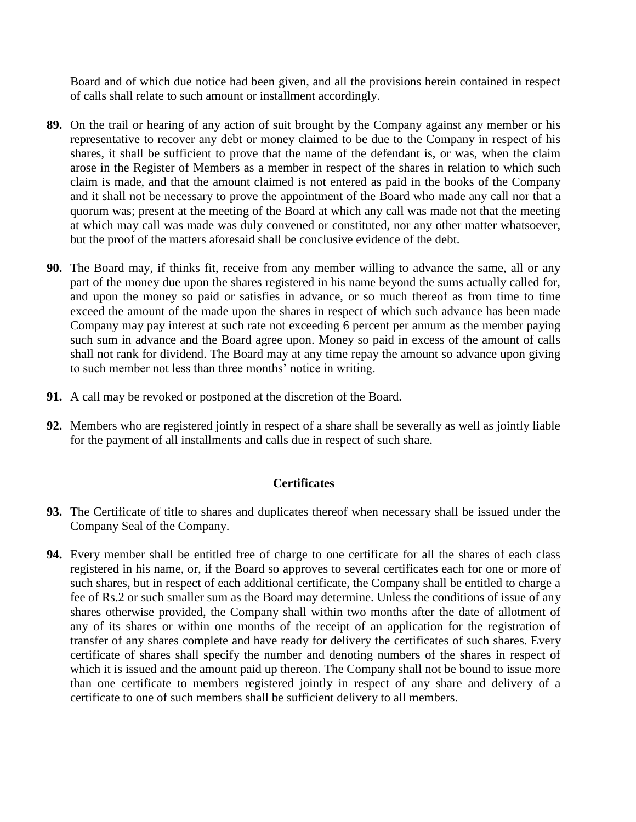Board and of which due notice had been given, and all the provisions herein contained in respect of calls shall relate to such amount or installment accordingly.

- **89.** On the trail or hearing of any action of suit brought by the Company against any member or his representative to recover any debt or money claimed to be due to the Company in respect of his shares, it shall be sufficient to prove that the name of the defendant is, or was, when the claim arose in the Register of Members as a member in respect of the shares in relation to which such claim is made, and that the amount claimed is not entered as paid in the books of the Company and it shall not be necessary to prove the appointment of the Board who made any call nor that a quorum was; present at the meeting of the Board at which any call was made not that the meeting at which may call was made was duly convened or constituted, nor any other matter whatsoever, but the proof of the matters aforesaid shall be conclusive evidence of the debt.
- **90.** The Board may, if thinks fit, receive from any member willing to advance the same, all or any part of the money due upon the shares registered in his name beyond the sums actually called for, and upon the money so paid or satisfies in advance, or so much thereof as from time to time exceed the amount of the made upon the shares in respect of which such advance has been made Company may pay interest at such rate not exceeding 6 percent per annum as the member paying such sum in advance and the Board agree upon. Money so paid in excess of the amount of calls shall not rank for dividend. The Board may at any time repay the amount so advance upon giving to such member not less than three months' notice in writing.
- **91.** A call may be revoked or postponed at the discretion of the Board.
- **92.** Members who are registered jointly in respect of a share shall be severally as well as jointly liable for the payment of all installments and calls due in respect of such share.

### **Certificates**

- **93.** The Certificate of title to shares and duplicates thereof when necessary shall be issued under the Company Seal of the Company.
- **94.** Every member shall be entitled free of charge to one certificate for all the shares of each class registered in his name, or, if the Board so approves to several certificates each for one or more of such shares, but in respect of each additional certificate, the Company shall be entitled to charge a fee of Rs.2 or such smaller sum as the Board may determine. Unless the conditions of issue of any shares otherwise provided, the Company shall within two months after the date of allotment of any of its shares or within one months of the receipt of an application for the registration of transfer of any shares complete and have ready for delivery the certificates of such shares. Every certificate of shares shall specify the number and denoting numbers of the shares in respect of which it is issued and the amount paid up thereon. The Company shall not be bound to issue more than one certificate to members registered jointly in respect of any share and delivery of a certificate to one of such members shall be sufficient delivery to all members.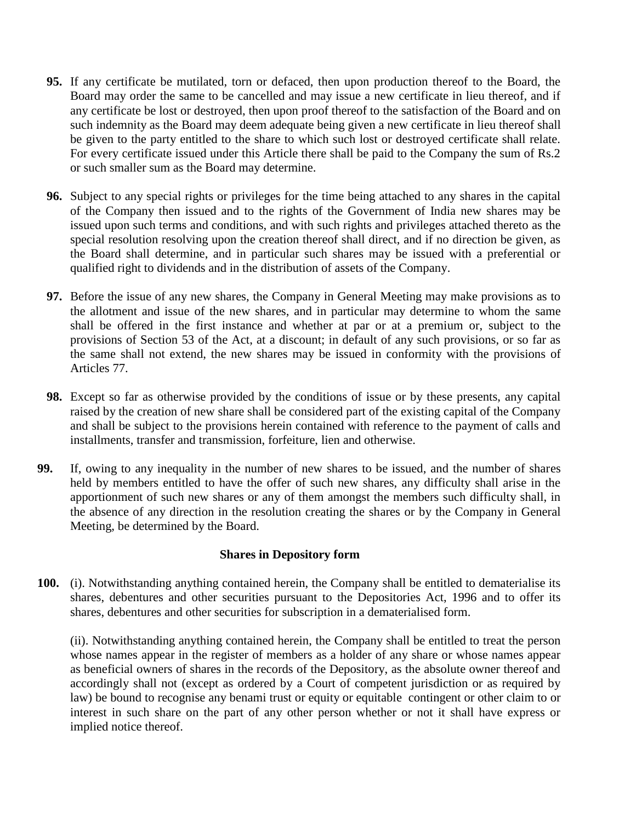- **95.** If any certificate be mutilated, torn or defaced, then upon production thereof to the Board, the Board may order the same to be cancelled and may issue a new certificate in lieu thereof, and if any certificate be lost or destroyed, then upon proof thereof to the satisfaction of the Board and on such indemnity as the Board may deem adequate being given a new certificate in lieu thereof shall be given to the party entitled to the share to which such lost or destroyed certificate shall relate. For every certificate issued under this Article there shall be paid to the Company the sum of Rs.2 or such smaller sum as the Board may determine.
- **96.** Subject to any special rights or privileges for the time being attached to any shares in the capital of the Company then issued and to the rights of the Government of India new shares may be issued upon such terms and conditions, and with such rights and privileges attached thereto as the special resolution resolving upon the creation thereof shall direct, and if no direction be given, as the Board shall determine, and in particular such shares may be issued with a preferential or qualified right to dividends and in the distribution of assets of the Company.
- **97.** Before the issue of any new shares, the Company in General Meeting may make provisions as to the allotment and issue of the new shares, and in particular may determine to whom the same shall be offered in the first instance and whether at par or at a premium or, subject to the provisions of Section 53 of the Act, at a discount; in default of any such provisions, or so far as the same shall not extend, the new shares may be issued in conformity with the provisions of Articles 77.
- **98.** Except so far as otherwise provided by the conditions of issue or by these presents, any capital raised by the creation of new share shall be considered part of the existing capital of the Company and shall be subject to the provisions herein contained with reference to the payment of calls and installments, transfer and transmission, forfeiture, lien and otherwise.
- **99.** If, owing to any inequality in the number of new shares to be issued, and the number of shares held by members entitled to have the offer of such new shares, any difficulty shall arise in the apportionment of such new shares or any of them amongst the members such difficulty shall, in the absence of any direction in the resolution creating the shares or by the Company in General Meeting, be determined by the Board.

### **Shares in Depository form**

**100.** (i). Notwithstanding anything contained herein, the Company shall be entitled to dematerialise its shares, debentures and other securities pursuant to the Depositories Act, 1996 and to offer its shares, debentures and other securities for subscription in a dematerialised form.

(ii). Notwithstanding anything contained herein, the Company shall be entitled to treat the person whose names appear in the register of members as a holder of any share or whose names appear as beneficial owners of shares in the records of the Depository, as the absolute owner thereof and accordingly shall not (except as ordered by a Court of competent jurisdiction or as required by law) be bound to recognise any benami trust or equity or equitable contingent or other claim to or interest in such share on the part of any other person whether or not it shall have express or implied notice thereof.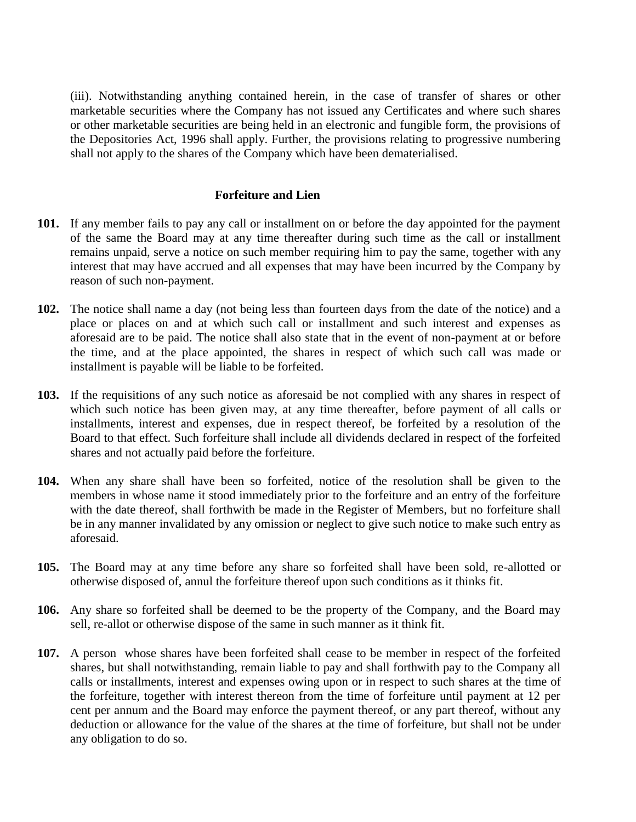(iii). Notwithstanding anything contained herein, in the case of transfer of shares or other marketable securities where the Company has not issued any Certificates and where such shares or other marketable securities are being held in an electronic and fungible form, the provisions of the Depositories Act, 1996 shall apply. Further, the provisions relating to progressive numbering shall not apply to the shares of the Company which have been dematerialised.

#### **Forfeiture and Lien**

- **101.** If any member fails to pay any call or installment on or before the day appointed for the payment of the same the Board may at any time thereafter during such time as the call or installment remains unpaid, serve a notice on such member requiring him to pay the same, together with any interest that may have accrued and all expenses that may have been incurred by the Company by reason of such non-payment.
- **102.** The notice shall name a day (not being less than fourteen days from the date of the notice) and a place or places on and at which such call or installment and such interest and expenses as aforesaid are to be paid. The notice shall also state that in the event of non-payment at or before the time, and at the place appointed, the shares in respect of which such call was made or installment is payable will be liable to be forfeited.
- **103.** If the requisitions of any such notice as aforesaid be not complied with any shares in respect of which such notice has been given may, at any time thereafter, before payment of all calls or installments, interest and expenses, due in respect thereof, be forfeited by a resolution of the Board to that effect. Such forfeiture shall include all dividends declared in respect of the forfeited shares and not actually paid before the forfeiture.
- **104.** When any share shall have been so forfeited, notice of the resolution shall be given to the members in whose name it stood immediately prior to the forfeiture and an entry of the forfeiture with the date thereof, shall forthwith be made in the Register of Members, but no forfeiture shall be in any manner invalidated by any omission or neglect to give such notice to make such entry as aforesaid.
- **105.** The Board may at any time before any share so forfeited shall have been sold, re-allotted or otherwise disposed of, annul the forfeiture thereof upon such conditions as it thinks fit.
- **106.** Any share so forfeited shall be deemed to be the property of the Company, and the Board may sell, re-allot or otherwise dispose of the same in such manner as it think fit.
- **107.** A person whose shares have been forfeited shall cease to be member in respect of the forfeited shares, but shall notwithstanding, remain liable to pay and shall forthwith pay to the Company all calls or installments, interest and expenses owing upon or in respect to such shares at the time of the forfeiture, together with interest thereon from the time of forfeiture until payment at 12 per cent per annum and the Board may enforce the payment thereof, or any part thereof, without any deduction or allowance for the value of the shares at the time of forfeiture, but shall not be under any obligation to do so.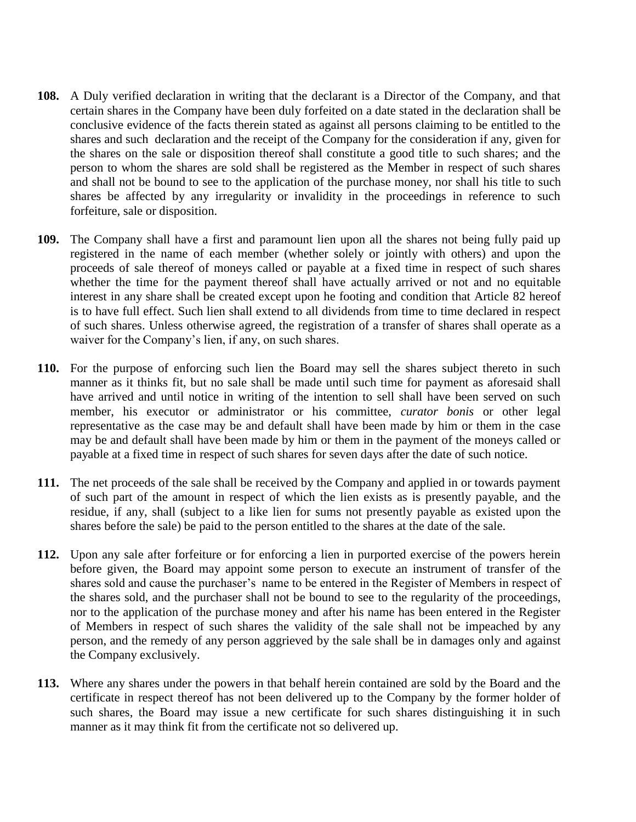- **108.** A Duly verified declaration in writing that the declarant is a Director of the Company, and that certain shares in the Company have been duly forfeited on a date stated in the declaration shall be conclusive evidence of the facts therein stated as against all persons claiming to be entitled to the shares and such declaration and the receipt of the Company for the consideration if any, given for the shares on the sale or disposition thereof shall constitute a good title to such shares; and the person to whom the shares are sold shall be registered as the Member in respect of such shares and shall not be bound to see to the application of the purchase money, nor shall his title to such shares be affected by any irregularity or invalidity in the proceedings in reference to such forfeiture, sale or disposition.
- **109.** The Company shall have a first and paramount lien upon all the shares not being fully paid up registered in the name of each member (whether solely or jointly with others) and upon the proceeds of sale thereof of moneys called or payable at a fixed time in respect of such shares whether the time for the payment thereof shall have actually arrived or not and no equitable interest in any share shall be created except upon he footing and condition that Article 82 hereof is to have full effect. Such lien shall extend to all dividends from time to time declared in respect of such shares. Unless otherwise agreed, the registration of a transfer of shares shall operate as a waiver for the Company's lien, if any, on such shares.
- **110.** For the purpose of enforcing such lien the Board may sell the shares subject thereto in such manner as it thinks fit, but no sale shall be made until such time for payment as aforesaid shall have arrived and until notice in writing of the intention to sell shall have been served on such member, his executor or administrator or his committee, *curator bonis* or other legal representative as the case may be and default shall have been made by him or them in the case may be and default shall have been made by him or them in the payment of the moneys called or payable at a fixed time in respect of such shares for seven days after the date of such notice.
- **111.** The net proceeds of the sale shall be received by the Company and applied in or towards payment of such part of the amount in respect of which the lien exists as is presently payable, and the residue, if any, shall (subject to a like lien for sums not presently payable as existed upon the shares before the sale) be paid to the person entitled to the shares at the date of the sale.
- **112.** Upon any sale after forfeiture or for enforcing a lien in purported exercise of the powers herein before given, the Board may appoint some person to execute an instrument of transfer of the shares sold and cause the purchaser's name to be entered in the Register of Members in respect of the shares sold, and the purchaser shall not be bound to see to the regularity of the proceedings, nor to the application of the purchase money and after his name has been entered in the Register of Members in respect of such shares the validity of the sale shall not be impeached by any person, and the remedy of any person aggrieved by the sale shall be in damages only and against the Company exclusively.
- **113.** Where any shares under the powers in that behalf herein contained are sold by the Board and the certificate in respect thereof has not been delivered up to the Company by the former holder of such shares, the Board may issue a new certificate for such shares distinguishing it in such manner as it may think fit from the certificate not so delivered up.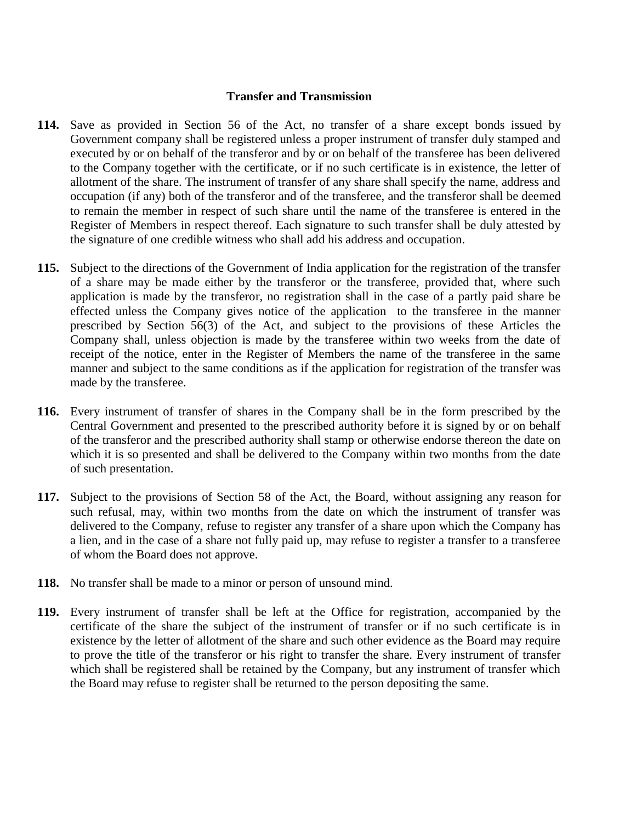#### **Transfer and Transmission**

- **114.** Save as provided in Section 56 of the Act, no transfer of a share except bonds issued by Government company shall be registered unless a proper instrument of transfer duly stamped and executed by or on behalf of the transferor and by or on behalf of the transferee has been delivered to the Company together with the certificate, or if no such certificate is in existence, the letter of allotment of the share. The instrument of transfer of any share shall specify the name, address and occupation (if any) both of the transferor and of the transferee, and the transferor shall be deemed to remain the member in respect of such share until the name of the transferee is entered in the Register of Members in respect thereof. Each signature to such transfer shall be duly attested by the signature of one credible witness who shall add his address and occupation.
- **115.** Subject to the directions of the Government of India application for the registration of the transfer of a share may be made either by the transferor or the transferee, provided that, where such application is made by the transferor, no registration shall in the case of a partly paid share be effected unless the Company gives notice of the application to the transferee in the manner prescribed by Section 56(3) of the Act, and subject to the provisions of these Articles the Company shall, unless objection is made by the transferee within two weeks from the date of receipt of the notice, enter in the Register of Members the name of the transferee in the same manner and subject to the same conditions as if the application for registration of the transfer was made by the transferee.
- **116.** Every instrument of transfer of shares in the Company shall be in the form prescribed by the Central Government and presented to the prescribed authority before it is signed by or on behalf of the transferor and the prescribed authority shall stamp or otherwise endorse thereon the date on which it is so presented and shall be delivered to the Company within two months from the date of such presentation.
- **117.** Subject to the provisions of Section 58 of the Act, the Board, without assigning any reason for such refusal, may, within two months from the date on which the instrument of transfer was delivered to the Company, refuse to register any transfer of a share upon which the Company has a lien, and in the case of a share not fully paid up, may refuse to register a transfer to a transferee of whom the Board does not approve.
- **118.** No transfer shall be made to a minor or person of unsound mind.
- **119.** Every instrument of transfer shall be left at the Office for registration, accompanied by the certificate of the share the subject of the instrument of transfer or if no such certificate is in existence by the letter of allotment of the share and such other evidence as the Board may require to prove the title of the transferor or his right to transfer the share. Every instrument of transfer which shall be registered shall be retained by the Company, but any instrument of transfer which the Board may refuse to register shall be returned to the person depositing the same.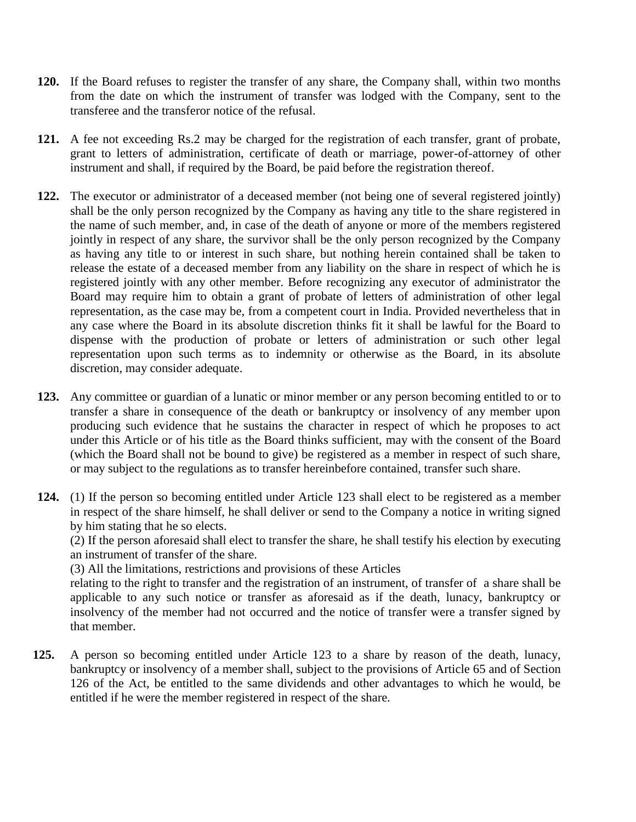- **120.** If the Board refuses to register the transfer of any share, the Company shall, within two months from the date on which the instrument of transfer was lodged with the Company, sent to the transferee and the transferor notice of the refusal.
- **121.** A fee not exceeding Rs.2 may be charged for the registration of each transfer, grant of probate, grant to letters of administration, certificate of death or marriage, power-of-attorney of other instrument and shall, if required by the Board, be paid before the registration thereof.
- **122.** The executor or administrator of a deceased member (not being one of several registered jointly) shall be the only person recognized by the Company as having any title to the share registered in the name of such member, and, in case of the death of anyone or more of the members registered jointly in respect of any share, the survivor shall be the only person recognized by the Company as having any title to or interest in such share, but nothing herein contained shall be taken to release the estate of a deceased member from any liability on the share in respect of which he is registered jointly with any other member. Before recognizing any executor of administrator the Board may require him to obtain a grant of probate of letters of administration of other legal representation, as the case may be, from a competent court in India. Provided nevertheless that in any case where the Board in its absolute discretion thinks fit it shall be lawful for the Board to dispense with the production of probate or letters of administration or such other legal representation upon such terms as to indemnity or otherwise as the Board, in its absolute discretion, may consider adequate.
- **123.** Any committee or guardian of a lunatic or minor member or any person becoming entitled to or to transfer a share in consequence of the death or bankruptcy or insolvency of any member upon producing such evidence that he sustains the character in respect of which he proposes to act under this Article or of his title as the Board thinks sufficient, may with the consent of the Board (which the Board shall not be bound to give) be registered as a member in respect of such share, or may subject to the regulations as to transfer hereinbefore contained, transfer such share.
- **124.** (1) If the person so becoming entitled under Article 123 shall elect to be registered as a member in respect of the share himself, he shall deliver or send to the Company a notice in writing signed by him stating that he so elects.

(2) If the person aforesaid shall elect to transfer the share, he shall testify his election by executing an instrument of transfer of the share.

(3) All the limitations, restrictions and provisions of these Articles

relating to the right to transfer and the registration of an instrument, of transfer of a share shall be applicable to any such notice or transfer as aforesaid as if the death, lunacy, bankruptcy or insolvency of the member had not occurred and the notice of transfer were a transfer signed by that member.

**125.** A person so becoming entitled under Article 123 to a share by reason of the death, lunacy, bankruptcy or insolvency of a member shall, subject to the provisions of Article 65 and of Section 126 of the Act, be entitled to the same dividends and other advantages to which he would, be entitled if he were the member registered in respect of the share.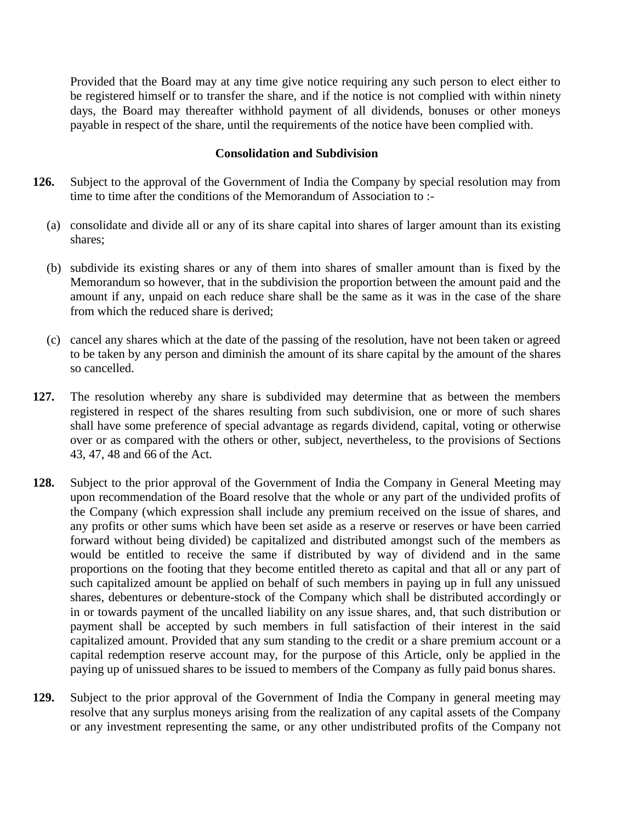Provided that the Board may at any time give notice requiring any such person to elect either to be registered himself or to transfer the share, and if the notice is not complied with within ninety days, the Board may thereafter withhold payment of all dividends, bonuses or other moneys payable in respect of the share, until the requirements of the notice have been complied with.

#### **Consolidation and Subdivision**

- **126.** Subject to the approval of the Government of India the Company by special resolution may from time to time after the conditions of the Memorandum of Association to :-
	- (a) consolidate and divide all or any of its share capital into shares of larger amount than its existing shares;
	- (b) subdivide its existing shares or any of them into shares of smaller amount than is fixed by the Memorandum so however, that in the subdivision the proportion between the amount paid and the amount if any, unpaid on each reduce share shall be the same as it was in the case of the share from which the reduced share is derived;
	- (c) cancel any shares which at the date of the passing of the resolution, have not been taken or agreed to be taken by any person and diminish the amount of its share capital by the amount of the shares so cancelled.
- **127.** The resolution whereby any share is subdivided may determine that as between the members registered in respect of the shares resulting from such subdivision, one or more of such shares shall have some preference of special advantage as regards dividend, capital, voting or otherwise over or as compared with the others or other, subject, nevertheless, to the provisions of Sections 43, 47, 48 and 66 of the Act.
- **128.** Subject to the prior approval of the Government of India the Company in General Meeting may upon recommendation of the Board resolve that the whole or any part of the undivided profits of the Company (which expression shall include any premium received on the issue of shares, and any profits or other sums which have been set aside as a reserve or reserves or have been carried forward without being divided) be capitalized and distributed amongst such of the members as would be entitled to receive the same if distributed by way of dividend and in the same proportions on the footing that they become entitled thereto as capital and that all or any part of such capitalized amount be applied on behalf of such members in paying up in full any unissued shares, debentures or debenture-stock of the Company which shall be distributed accordingly or in or towards payment of the uncalled liability on any issue shares, and, that such distribution or payment shall be accepted by such members in full satisfaction of their interest in the said capitalized amount. Provided that any sum standing to the credit or a share premium account or a capital redemption reserve account may, for the purpose of this Article, only be applied in the paying up of unissued shares to be issued to members of the Company as fully paid bonus shares.
- **129.** Subject to the prior approval of the Government of India the Company in general meeting may resolve that any surplus moneys arising from the realization of any capital assets of the Company or any investment representing the same, or any other undistributed profits of the Company not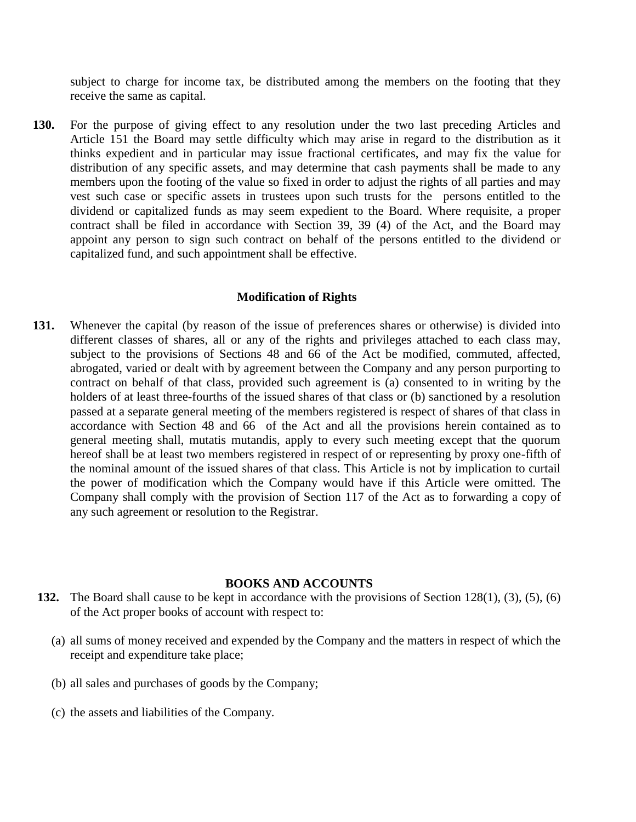subject to charge for income tax, be distributed among the members on the footing that they receive the same as capital.

**130.** For the purpose of giving effect to any resolution under the two last preceding Articles and Article 151 the Board may settle difficulty which may arise in regard to the distribution as it thinks expedient and in particular may issue fractional certificates, and may fix the value for distribution of any specific assets, and may determine that cash payments shall be made to any members upon the footing of the value so fixed in order to adjust the rights of all parties and may vest such case or specific assets in trustees upon such trusts for the persons entitled to the dividend or capitalized funds as may seem expedient to the Board. Where requisite, a proper contract shall be filed in accordance with Section 39, 39 (4) of the Act, and the Board may appoint any person to sign such contract on behalf of the persons entitled to the dividend or capitalized fund, and such appointment shall be effective.

#### **Modification of Rights**

**131.** Whenever the capital (by reason of the issue of preferences shares or otherwise) is divided into different classes of shares, all or any of the rights and privileges attached to each class may, subject to the provisions of Sections 48 and 66 of the Act be modified, commuted, affected, abrogated, varied or dealt with by agreement between the Company and any person purporting to contract on behalf of that class, provided such agreement is (a) consented to in writing by the holders of at least three-fourths of the issued shares of that class or (b) sanctioned by a resolution passed at a separate general meeting of the members registered is respect of shares of that class in accordance with Section 48 and 66 of the Act and all the provisions herein contained as to general meeting shall, mutatis mutandis, apply to every such meeting except that the quorum hereof shall be at least two members registered in respect of or representing by proxy one-fifth of the nominal amount of the issued shares of that class. This Article is not by implication to curtail the power of modification which the Company would have if this Article were omitted. The Company shall comply with the provision of Section 117 of the Act as to forwarding a copy of any such agreement or resolution to the Registrar.

#### **BOOKS AND ACCOUNTS**

- **132.** The Board shall cause to be kept in accordance with the provisions of Section 128(1), (3), (5), (6) of the Act proper books of account with respect to:
	- (a) all sums of money received and expended by the Company and the matters in respect of which the receipt and expenditure take place;
	- (b) all sales and purchases of goods by the Company;
	- (c) the assets and liabilities of the Company.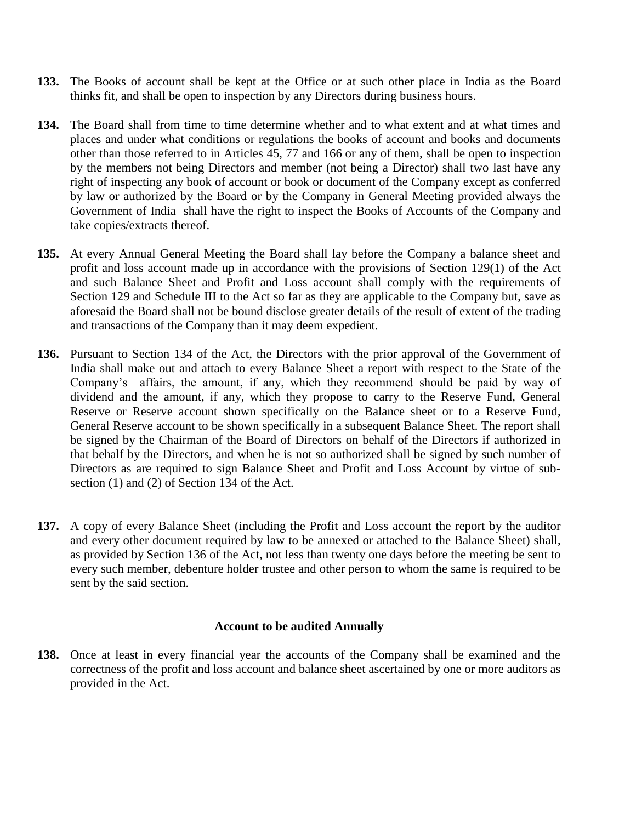- **133.** The Books of account shall be kept at the Office or at such other place in India as the Board thinks fit, and shall be open to inspection by any Directors during business hours.
- **134.** The Board shall from time to time determine whether and to what extent and at what times and places and under what conditions or regulations the books of account and books and documents other than those referred to in Articles 45, 77 and 166 or any of them, shall be open to inspection by the members not being Directors and member (not being a Director) shall two last have any right of inspecting any book of account or book or document of the Company except as conferred by law or authorized by the Board or by the Company in General Meeting provided always the Government of India shall have the right to inspect the Books of Accounts of the Company and take copies/extracts thereof.
- **135.** At every Annual General Meeting the Board shall lay before the Company a balance sheet and profit and loss account made up in accordance with the provisions of Section 129(1) of the Act and such Balance Sheet and Profit and Loss account shall comply with the requirements of Section 129 and Schedule III to the Act so far as they are applicable to the Company but, save as aforesaid the Board shall not be bound disclose greater details of the result of extent of the trading and transactions of the Company than it may deem expedient.
- **136.** Pursuant to Section 134 of the Act, the Directors with the prior approval of the Government of India shall make out and attach to every Balance Sheet a report with respect to the State of the Company's affairs, the amount, if any, which they recommend should be paid by way of dividend and the amount, if any, which they propose to carry to the Reserve Fund, General Reserve or Reserve account shown specifically on the Balance sheet or to a Reserve Fund, General Reserve account to be shown specifically in a subsequent Balance Sheet. The report shall be signed by the Chairman of the Board of Directors on behalf of the Directors if authorized in that behalf by the Directors, and when he is not so authorized shall be signed by such number of Directors as are required to sign Balance Sheet and Profit and Loss Account by virtue of subsection (1) and (2) of Section 134 of the Act.
- **137.** A copy of every Balance Sheet (including the Profit and Loss account the report by the auditor and every other document required by law to be annexed or attached to the Balance Sheet) shall, as provided by Section 136 of the Act, not less than twenty one days before the meeting be sent to every such member, debenture holder trustee and other person to whom the same is required to be sent by the said section.

### **Account to be audited Annually**

**138.** Once at least in every financial year the accounts of the Company shall be examined and the correctness of the profit and loss account and balance sheet ascertained by one or more auditors as provided in the Act.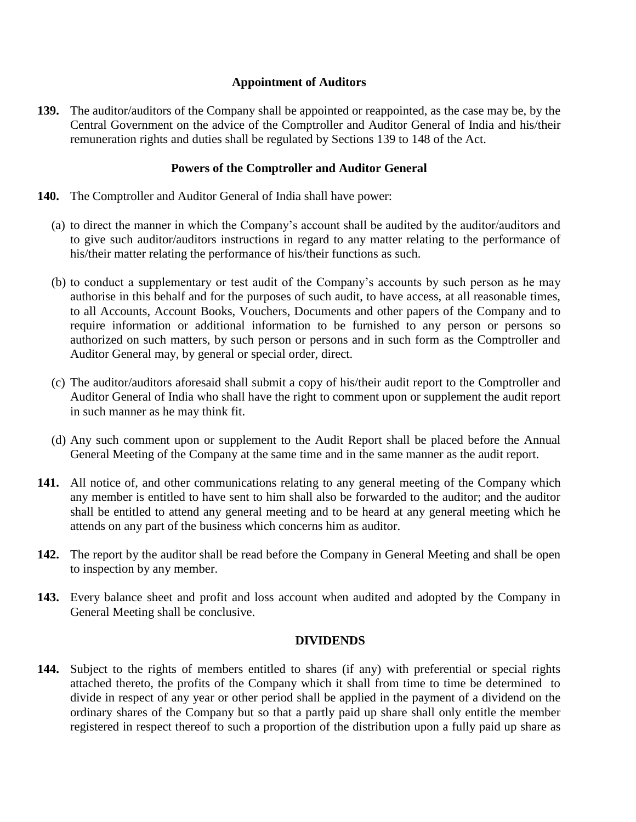### **Appointment of Auditors**

**139.** The auditor/auditors of the Company shall be appointed or reappointed, as the case may be, by the Central Government on the advice of the Comptroller and Auditor General of India and his/their remuneration rights and duties shall be regulated by Sections 139 to 148 of the Act.

### **Powers of the Comptroller and Auditor General**

- **140.** The Comptroller and Auditor General of India shall have power:
	- (a) to direct the manner in which the Company's account shall be audited by the auditor/auditors and to give such auditor/auditors instructions in regard to any matter relating to the performance of his/their matter relating the performance of his/their functions as such.
	- (b) to conduct a supplementary or test audit of the Company's accounts by such person as he may authorise in this behalf and for the purposes of such audit, to have access, at all reasonable times, to all Accounts, Account Books, Vouchers, Documents and other papers of the Company and to require information or additional information to be furnished to any person or persons so authorized on such matters, by such person or persons and in such form as the Comptroller and Auditor General may, by general or special order, direct.
	- (c) The auditor/auditors aforesaid shall submit a copy of his/their audit report to the Comptroller and Auditor General of India who shall have the right to comment upon or supplement the audit report in such manner as he may think fit.
	- (d) Any such comment upon or supplement to the Audit Report shall be placed before the Annual General Meeting of the Company at the same time and in the same manner as the audit report.
- **141.** All notice of, and other communications relating to any general meeting of the Company which any member is entitled to have sent to him shall also be forwarded to the auditor; and the auditor shall be entitled to attend any general meeting and to be heard at any general meeting which he attends on any part of the business which concerns him as auditor.
- **142.** The report by the auditor shall be read before the Company in General Meeting and shall be open to inspection by any member.
- **143.** Every balance sheet and profit and loss account when audited and adopted by the Company in General Meeting shall be conclusive.

### **DIVIDENDS**

**144.** Subject to the rights of members entitled to shares (if any) with preferential or special rights attached thereto, the profits of the Company which it shall from time to time be determined to divide in respect of any year or other period shall be applied in the payment of a dividend on the ordinary shares of the Company but so that a partly paid up share shall only entitle the member registered in respect thereof to such a proportion of the distribution upon a fully paid up share as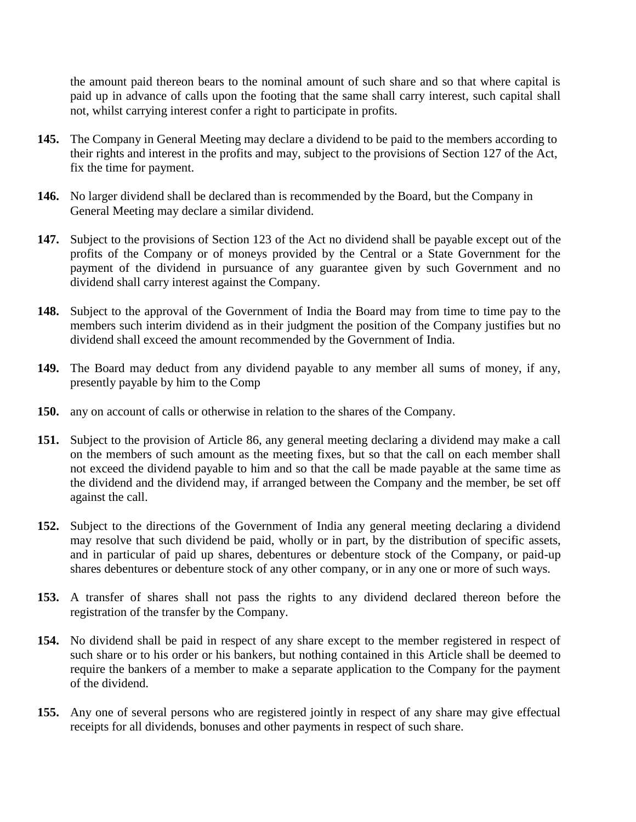the amount paid thereon bears to the nominal amount of such share and so that where capital is paid up in advance of calls upon the footing that the same shall carry interest, such capital shall not, whilst carrying interest confer a right to participate in profits.

- **145.** The Company in General Meeting may declare a dividend to be paid to the members according to their rights and interest in the profits and may, subject to the provisions of Section 127 of the Act, fix the time for payment.
- **146.** No larger dividend shall be declared than is recommended by the Board, but the Company in General Meeting may declare a similar dividend.
- **147.** Subject to the provisions of Section 123 of the Act no dividend shall be payable except out of the profits of the Company or of moneys provided by the Central or a State Government for the payment of the dividend in pursuance of any guarantee given by such Government and no dividend shall carry interest against the Company.
- **148.** Subject to the approval of the Government of India the Board may from time to time pay to the members such interim dividend as in their judgment the position of the Company justifies but no dividend shall exceed the amount recommended by the Government of India.
- **149.** The Board may deduct from any dividend payable to any member all sums of money, if any, presently payable by him to the Comp
- **150.** any on account of calls or otherwise in relation to the shares of the Company.
- **151.** Subject to the provision of Article 86, any general meeting declaring a dividend may make a call on the members of such amount as the meeting fixes, but so that the call on each member shall not exceed the dividend payable to him and so that the call be made payable at the same time as the dividend and the dividend may, if arranged between the Company and the member, be set off against the call.
- **152.** Subject to the directions of the Government of India any general meeting declaring a dividend may resolve that such dividend be paid, wholly or in part, by the distribution of specific assets, and in particular of paid up shares, debentures or debenture stock of the Company, or paid-up shares debentures or debenture stock of any other company, or in any one or more of such ways.
- **153.** A transfer of shares shall not pass the rights to any dividend declared thereon before the registration of the transfer by the Company.
- **154.** No dividend shall be paid in respect of any share except to the member registered in respect of such share or to his order or his bankers, but nothing contained in this Article shall be deemed to require the bankers of a member to make a separate application to the Company for the payment of the dividend.
- **155.** Any one of several persons who are registered jointly in respect of any share may give effectual receipts for all dividends, bonuses and other payments in respect of such share.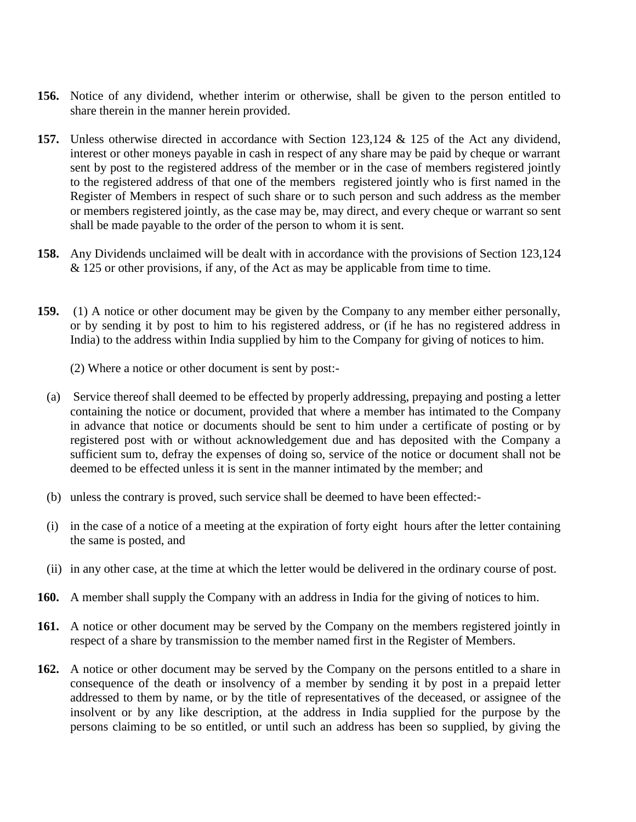- **156.** Notice of any dividend, whether interim or otherwise, shall be given to the person entitled to share therein in the manner herein provided.
- **157.** Unless otherwise directed in accordance with Section 123,124 & 125 of the Act any dividend, interest or other moneys payable in cash in respect of any share may be paid by cheque or warrant sent by post to the registered address of the member or in the case of members registered jointly to the registered address of that one of the members registered jointly who is first named in the Register of Members in respect of such share or to such person and such address as the member or members registered jointly, as the case may be, may direct, and every cheque or warrant so sent shall be made payable to the order of the person to whom it is sent.
- **158.** Any Dividends unclaimed will be dealt with in accordance with the provisions of Section 123,124 & 125 or other provisions, if any, of the Act as may be applicable from time to time.
- **159.** (1) A notice or other document may be given by the Company to any member either personally, or by sending it by post to him to his registered address, or (if he has no registered address in India) to the address within India supplied by him to the Company for giving of notices to him.
	- (2) Where a notice or other document is sent by post:-
	- (a) Service thereof shall deemed to be effected by properly addressing, prepaying and posting a letter containing the notice or document, provided that where a member has intimated to the Company in advance that notice or documents should be sent to him under a certificate of posting or by registered post with or without acknowledgement due and has deposited with the Company a sufficient sum to, defray the expenses of doing so, service of the notice or document shall not be deemed to be effected unless it is sent in the manner intimated by the member; and
	- (b) unless the contrary is proved, such service shall be deemed to have been effected:-
	- (i) in the case of a notice of a meeting at the expiration of forty eight hours after the letter containing the same is posted, and
	- (ii) in any other case, at the time at which the letter would be delivered in the ordinary course of post.
- **160.** A member shall supply the Company with an address in India for the giving of notices to him.
- **161.** A notice or other document may be served by the Company on the members registered jointly in respect of a share by transmission to the member named first in the Register of Members.
- **162.** A notice or other document may be served by the Company on the persons entitled to a share in consequence of the death or insolvency of a member by sending it by post in a prepaid letter addressed to them by name, or by the title of representatives of the deceased, or assignee of the insolvent or by any like description, at the address in India supplied for the purpose by the persons claiming to be so entitled, or until such an address has been so supplied, by giving the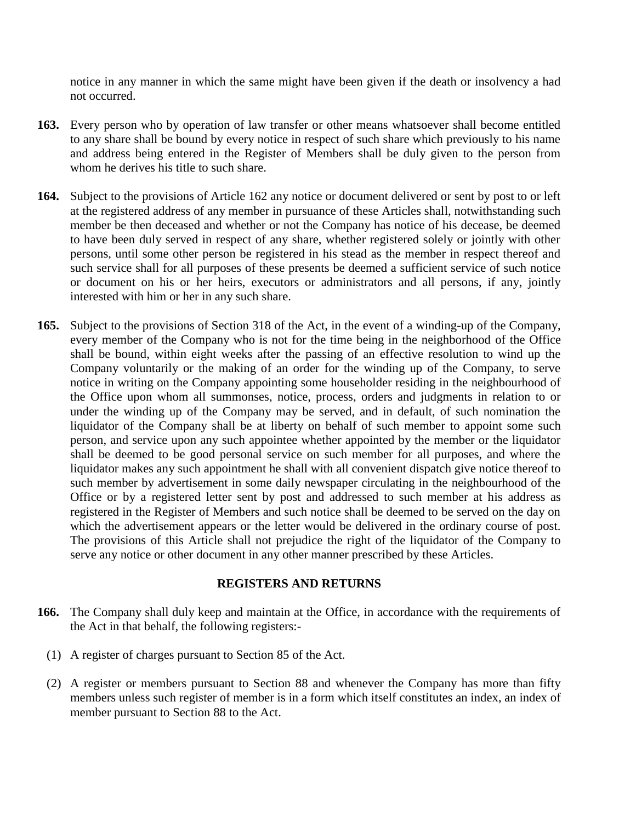notice in any manner in which the same might have been given if the death or insolvency a had not occurred.

- **163.** Every person who by operation of law transfer or other means whatsoever shall become entitled to any share shall be bound by every notice in respect of such share which previously to his name and address being entered in the Register of Members shall be duly given to the person from whom he derives his title to such share.
- **164.** Subject to the provisions of Article 162 any notice or document delivered or sent by post to or left at the registered address of any member in pursuance of these Articles shall, notwithstanding such member be then deceased and whether or not the Company has notice of his decease, be deemed to have been duly served in respect of any share, whether registered solely or jointly with other persons, until some other person be registered in his stead as the member in respect thereof and such service shall for all purposes of these presents be deemed a sufficient service of such notice or document on his or her heirs, executors or administrators and all persons, if any, jointly interested with him or her in any such share.
- **165.** Subject to the provisions of Section 318 of the Act, in the event of a winding-up of the Company, every member of the Company who is not for the time being in the neighborhood of the Office shall be bound, within eight weeks after the passing of an effective resolution to wind up the Company voluntarily or the making of an order for the winding up of the Company, to serve notice in writing on the Company appointing some householder residing in the neighbourhood of the Office upon whom all summonses, notice, process, orders and judgments in relation to or under the winding up of the Company may be served, and in default, of such nomination the liquidator of the Company shall be at liberty on behalf of such member to appoint some such person, and service upon any such appointee whether appointed by the member or the liquidator shall be deemed to be good personal service on such member for all purposes, and where the liquidator makes any such appointment he shall with all convenient dispatch give notice thereof to such member by advertisement in some daily newspaper circulating in the neighbourhood of the Office or by a registered letter sent by post and addressed to such member at his address as registered in the Register of Members and such notice shall be deemed to be served on the day on which the advertisement appears or the letter would be delivered in the ordinary course of post. The provisions of this Article shall not prejudice the right of the liquidator of the Company to serve any notice or other document in any other manner prescribed by these Articles.

### **REGISTERS AND RETURNS**

- **166.** The Company shall duly keep and maintain at the Office, in accordance with the requirements of the Act in that behalf, the following registers:-
	- (1) A register of charges pursuant to Section 85 of the Act.
	- (2) A register or members pursuant to Section 88 and whenever the Company has more than fifty members unless such register of member is in a form which itself constitutes an index, an index of member pursuant to Section 88 to the Act.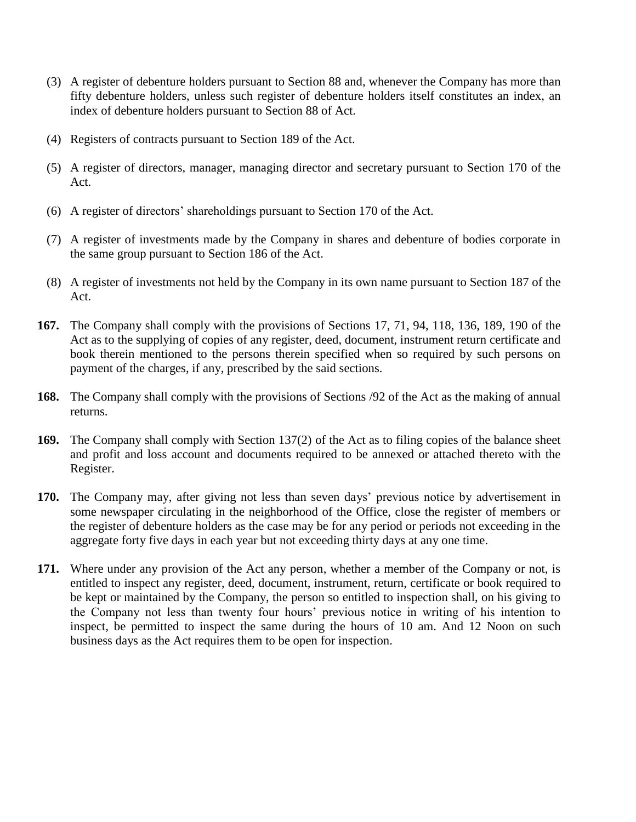- (3) A register of debenture holders pursuant to Section 88 and, whenever the Company has more than fifty debenture holders, unless such register of debenture holders itself constitutes an index, an index of debenture holders pursuant to Section 88 of Act.
- (4) Registers of contracts pursuant to Section 189 of the Act.
- (5) A register of directors, manager, managing director and secretary pursuant to Section 170 of the Act.
- (6) A register of directors' shareholdings pursuant to Section 170 of the Act.
- (7) A register of investments made by the Company in shares and debenture of bodies corporate in the same group pursuant to Section 186 of the Act.
- (8) A register of investments not held by the Company in its own name pursuant to Section 187 of the Act.
- **167.** The Company shall comply with the provisions of Sections 17, 71, 94, 118, 136, 189, 190 of the Act as to the supplying of copies of any register, deed, document, instrument return certificate and book therein mentioned to the persons therein specified when so required by such persons on payment of the charges, if any, prescribed by the said sections.
- **168.** The Company shall comply with the provisions of Sections /92 of the Act as the making of annual returns.
- **169.** The Company shall comply with Section 137(2) of the Act as to filing copies of the balance sheet and profit and loss account and documents required to be annexed or attached thereto with the Register.
- **170.** The Company may, after giving not less than seven days' previous notice by advertisement in some newspaper circulating in the neighborhood of the Office, close the register of members or the register of debenture holders as the case may be for any period or periods not exceeding in the aggregate forty five days in each year but not exceeding thirty days at any one time.
- **171.** Where under any provision of the Act any person, whether a member of the Company or not, is entitled to inspect any register, deed, document, instrument, return, certificate or book required to be kept or maintained by the Company, the person so entitled to inspection shall, on his giving to the Company not less than twenty four hours' previous notice in writing of his intention to inspect, be permitted to inspect the same during the hours of 10 am. And 12 Noon on such business days as the Act requires them to be open for inspection.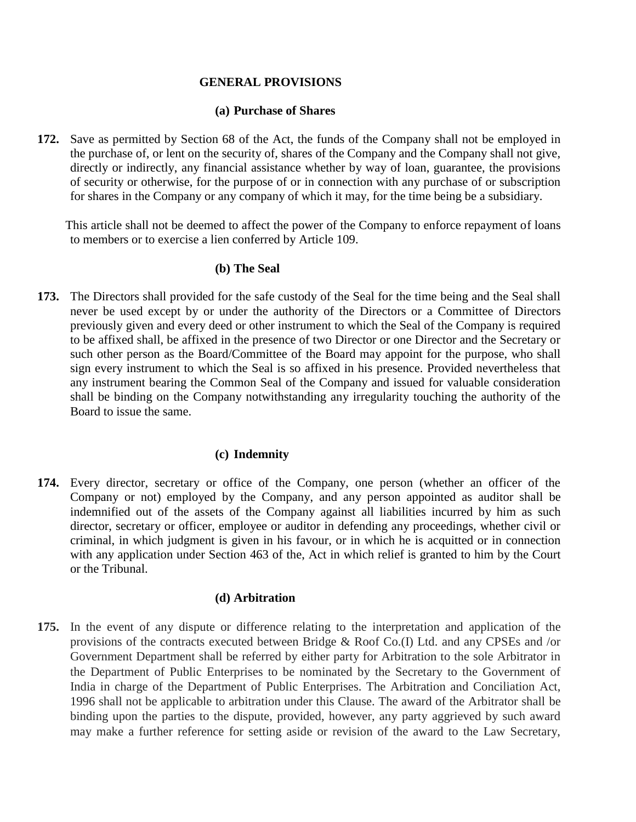### **GENERAL PROVISIONS**

#### **(a) Purchase of Shares**

**172.** Save as permitted by Section 68 of the Act, the funds of the Company shall not be employed in the purchase of, or lent on the security of, shares of the Company and the Company shall not give, directly or indirectly, any financial assistance whether by way of loan, guarantee, the provisions of security or otherwise, for the purpose of or in connection with any purchase of or subscription for shares in the Company or any company of which it may, for the time being be a subsidiary.

This article shall not be deemed to affect the power of the Company to enforce repayment of loans to members or to exercise a lien conferred by Article 109.

### **(b) The Seal**

**173.** The Directors shall provided for the safe custody of the Seal for the time being and the Seal shall never be used except by or under the authority of the Directors or a Committee of Directors previously given and every deed or other instrument to which the Seal of the Company is required to be affixed shall, be affixed in the presence of two Director or one Director and the Secretary or such other person as the Board/Committee of the Board may appoint for the purpose, who shall sign every instrument to which the Seal is so affixed in his presence. Provided nevertheless that any instrument bearing the Common Seal of the Company and issued for valuable consideration shall be binding on the Company notwithstanding any irregularity touching the authority of the Board to issue the same.

#### **(c) Indemnity**

**174.** Every director, secretary or office of the Company, one person (whether an officer of the Company or not) employed by the Company, and any person appointed as auditor shall be indemnified out of the assets of the Company against all liabilities incurred by him as such director, secretary or officer, employee or auditor in defending any proceedings, whether civil or criminal, in which judgment is given in his favour, or in which he is acquitted or in connection with any application under Section 463 of the, Act in which relief is granted to him by the Court or the Tribunal.

#### **(d) Arbitration**

**175.** In the event of any dispute or difference relating to the interpretation and application of the provisions of the contracts executed between Bridge & Roof Co.(I) Ltd. and any CPSEs and /or Government Department shall be referred by either party for Arbitration to the sole Arbitrator in the Department of Public Enterprises to be nominated by the Secretary to the Government of India in charge of the Department of Public Enterprises. The Arbitration and Conciliation Act, 1996 shall not be applicable to arbitration under this Clause. The award of the Arbitrator shall be binding upon the parties to the dispute, provided, however, any party aggrieved by such award may make a further reference for setting aside or revision of the award to the Law Secretary,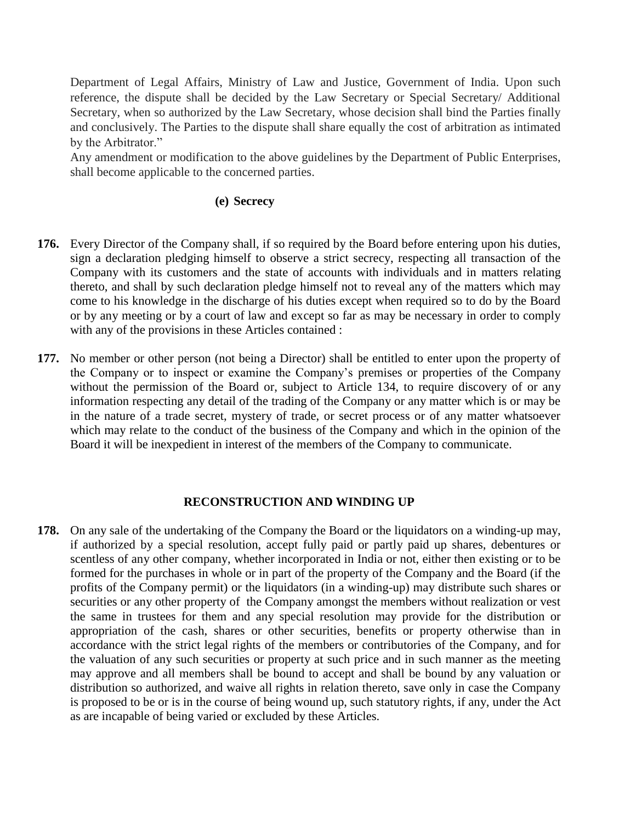Department of Legal Affairs, Ministry of Law and Justice, Government of India. Upon such reference, the dispute shall be decided by the Law Secretary or Special Secretary/ Additional Secretary, when so authorized by the Law Secretary, whose decision shall bind the Parties finally and conclusively. The Parties to the dispute shall share equally the cost of arbitration as intimated by the Arbitrator."

Any amendment or modification to the above guidelines by the Department of Public Enterprises, shall become applicable to the concerned parties.

## **(e) Secrecy**

- **176.** Every Director of the Company shall, if so required by the Board before entering upon his duties, sign a declaration pledging himself to observe a strict secrecy, respecting all transaction of the Company with its customers and the state of accounts with individuals and in matters relating thereto, and shall by such declaration pledge himself not to reveal any of the matters which may come to his knowledge in the discharge of his duties except when required so to do by the Board or by any meeting or by a court of law and except so far as may be necessary in order to comply with any of the provisions in these Articles contained :
- **177.** No member or other person (not being a Director) shall be entitled to enter upon the property of the Company or to inspect or examine the Company's premises or properties of the Company without the permission of the Board or, subject to Article 134, to require discovery of or any information respecting any detail of the trading of the Company or any matter which is or may be in the nature of a trade secret, mystery of trade, or secret process or of any matter whatsoever which may relate to the conduct of the business of the Company and which in the opinion of the Board it will be inexpedient in interest of the members of the Company to communicate.

#### **RECONSTRUCTION AND WINDING UP**

**178.** On any sale of the undertaking of the Company the Board or the liquidators on a winding-up may, if authorized by a special resolution, accept fully paid or partly paid up shares, debentures or scentless of any other company, whether incorporated in India or not, either then existing or to be formed for the purchases in whole or in part of the property of the Company and the Board (if the profits of the Company permit) or the liquidators (in a winding-up) may distribute such shares or securities or any other property of the Company amongst the members without realization or vest the same in trustees for them and any special resolution may provide for the distribution or appropriation of the cash, shares or other securities, benefits or property otherwise than in accordance with the strict legal rights of the members or contributories of the Company, and for the valuation of any such securities or property at such price and in such manner as the meeting may approve and all members shall be bound to accept and shall be bound by any valuation or distribution so authorized, and waive all rights in relation thereto, save only in case the Company is proposed to be or is in the course of being wound up, such statutory rights, if any, under the Act as are incapable of being varied or excluded by these Articles.